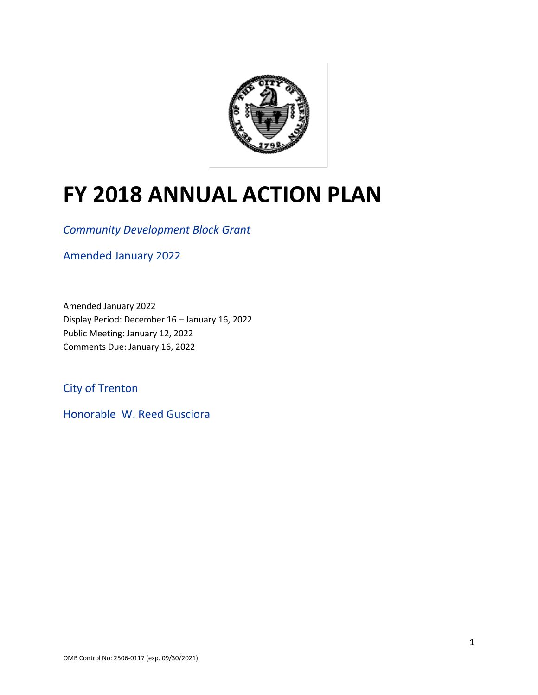

# **FY 2018 ANNUAL ACTION PLAN**

*Community Development Block Grant*

Amended January 2022

Amended January 2022 Display Period: December 16 – January 16, 2022 Public Meeting: January 12, 2022 Comments Due: January 16, 2022

City of Trenton

Honorable W. Reed Gusciora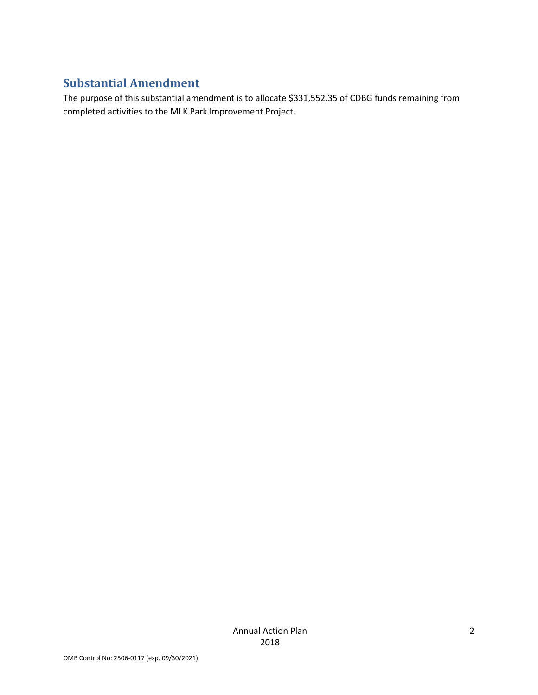### **Substantial Amendment**

The purpose of this substantial amendment is to allocate \$331,552.35 of CDBG funds remaining from completed activities to the MLK Park Improvement Project.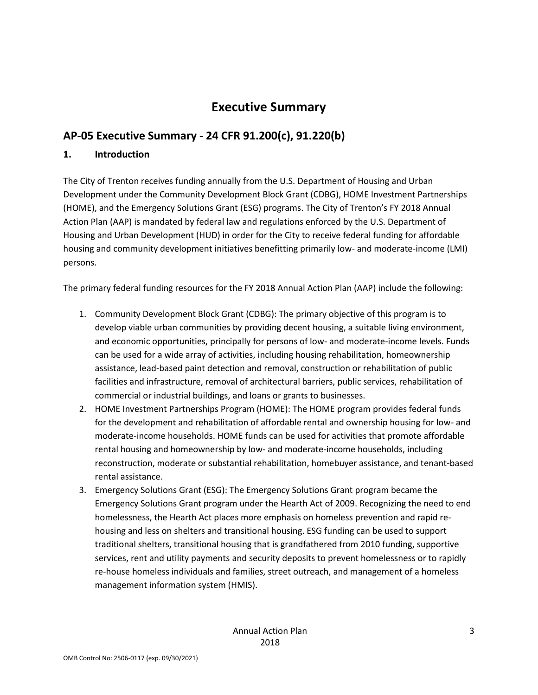# **Executive Summary**

### **AP-05 Executive Summary - 24 CFR 91.200(c), 91.220(b)**

#### **1. Introduction**

The City of Trenton receives funding annually from the U.S. Department of Housing and Urban Development under the Community Development Block Grant (CDBG), HOME Investment Partnerships (HOME), and the Emergency Solutions Grant (ESG) programs. The City of Trenton's FY 2018 Annual Action Plan (AAP) is mandated by federal law and regulations enforced by the U.S. Department of Housing and Urban Development (HUD) in order for the City to receive federal funding for affordable housing and community development initiatives benefitting primarily low- and moderate-income (LMI) persons.

The primary federal funding resources for the FY 2018 Annual Action Plan (AAP) include the following:

- 1. Community Development Block Grant (CDBG): The primary objective of this program is to develop viable urban communities by providing decent housing, a suitable living environment, and economic opportunities, principally for persons of low- and moderate-income levels. Funds can be used for a wide array of activities, including housing rehabilitation, homeownership assistance, lead-based paint detection and removal, construction or rehabilitation of public facilities and infrastructure, removal of architectural barriers, public services, rehabilitation of commercial or industrial buildings, and loans or grants to businesses.
- 2. HOME Investment Partnerships Program (HOME): The HOME program provides federal funds for the development and rehabilitation of affordable rental and ownership housing for low- and moderate-income households. HOME funds can be used for activities that promote affordable rental housing and homeownership by low- and moderate-income households, including reconstruction, moderate or substantial rehabilitation, homebuyer assistance, and tenant-based rental assistance.
- 3. Emergency Solutions Grant (ESG): The Emergency Solutions Grant program became the Emergency Solutions Grant program under the Hearth Act of 2009. Recognizing the need to end homelessness, the Hearth Act places more emphasis on homeless prevention and rapid rehousing and less on shelters and transitional housing. ESG funding can be used to support traditional shelters, transitional housing that is grandfathered from 2010 funding, supportive services, rent and utility payments and security deposits to prevent homelessness or to rapidly re-house homeless individuals and families, street outreach, and management of a homeless management information system (HMIS).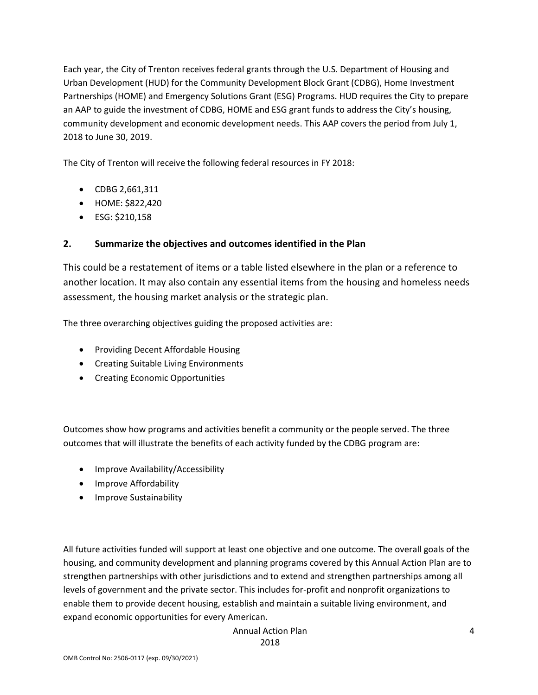Each year, the City of Trenton receives federal grants through the U.S. Department of Housing and Urban Development (HUD) for the Community Development Block Grant (CDBG), Home Investment Partnerships (HOME) and Emergency Solutions Grant (ESG) Programs. HUD requires the City to prepare an AAP to guide the investment of CDBG, HOME and ESG grant funds to address the City's housing, community development and economic development needs. This AAP covers the period from July 1, 2018 to June 30, 2019.

The City of Trenton will receive the following federal resources in FY 2018:

- CDBG 2,661,311
- HOME: \$822,420
- ESG: \$210,158

### **2. Summarize the objectives and outcomes identified in the Plan**

This could be a restatement of items or a table listed elsewhere in the plan or a reference to another location. It may also contain any essential items from the housing and homeless needs assessment, the housing market analysis or the strategic plan.

The three overarching objectives guiding the proposed activities are:

- Providing Decent Affordable Housing
- Creating Suitable Living Environments
- Creating Economic Opportunities

Outcomes show how programs and activities benefit a community or the people served. The three outcomes that will illustrate the benefits of each activity funded by the CDBG program are:

- Improve Availability/Accessibility
- Improve Affordability
- Improve Sustainability

All future activities funded will support at least one objective and one outcome. The overall goals of the housing, and community development and planning programs covered by this Annual Action Plan are to strengthen partnerships with other jurisdictions and to extend and strengthen partnerships among all levels of government and the private sector. This includes for-profit and nonprofit organizations to enable them to provide decent housing, establish and maintain a suitable living environment, and expand economic opportunities for every American.

Annual Action Plan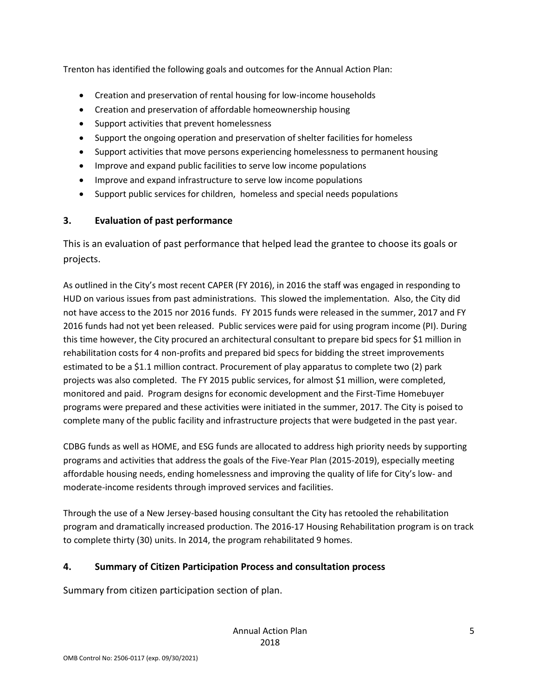Trenton has identified the following goals and outcomes for the Annual Action Plan:

- Creation and preservation of rental housing for low-income households
- Creation and preservation of affordable homeownership housing
- Support activities that prevent homelessness
- Support the ongoing operation and preservation of shelter facilities for homeless
- Support activities that move persons experiencing homelessness to permanent housing
- Improve and expand public facilities to serve low income populations
- Improve and expand infrastructure to serve low income populations
- Support public services for children, homeless and special needs populations

### **3. Evaluation of past performance**

This is an evaluation of past performance that helped lead the grantee to choose its goals or projects.

As outlined in the City's most recent CAPER (FY 2016), in 2016 the staff was engaged in responding to HUD on various issues from past administrations. This slowed the implementation. Also, the City did not have access to the 2015 nor 2016 funds. FY 2015 funds were released in the summer, 2017 and FY 2016 funds had not yet been released. Public services were paid for using program income (PI). During this time however, the City procured an architectural consultant to prepare bid specs for \$1 million in rehabilitation costs for 4 non-profits and prepared bid specs for bidding the street improvements estimated to be a \$1.1 million contract. Procurement of play apparatus to complete two (2) park projects was also completed. The FY 2015 public services, for almost \$1 million, were completed, monitored and paid. Program designs for economic development and the First-Time Homebuyer programs were prepared and these activities were initiated in the summer, 2017. The City is poised to complete many of the public facility and infrastructure projects that were budgeted in the past year.

CDBG funds as well as HOME, and ESG funds are allocated to address high priority needs by supporting programs and activities that address the goals of the Five-Year Plan (2015-2019), especially meeting affordable housing needs, ending homelessness and improving the quality of life for City's low- and moderate-income residents through improved services and facilities.

Through the use of a New Jersey-based housing consultant the City has retooled the rehabilitation program and dramatically increased production. The 2016-17 Housing Rehabilitation program is on track to complete thirty (30) units. In 2014, the program rehabilitated 9 homes.

### **4. Summary of Citizen Participation Process and consultation process**

Summary from citizen participation section of plan.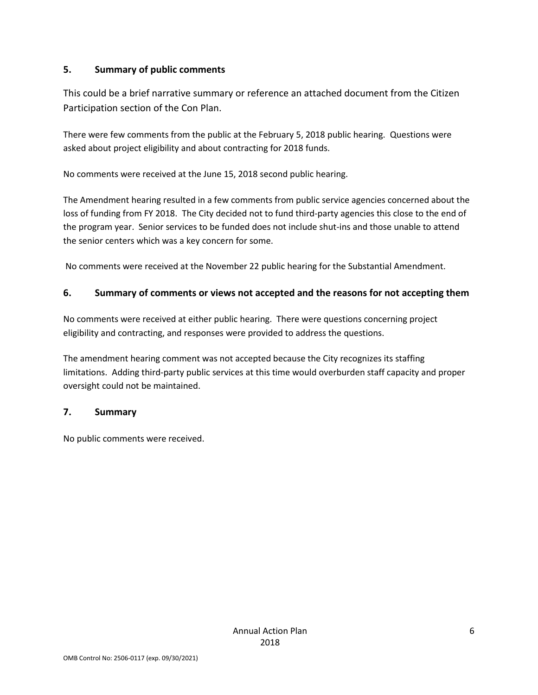### **5. Summary of public comments**

This could be a brief narrative summary or reference an attached document from the Citizen Participation section of the Con Plan.

There were few comments from the public at the February 5, 2018 public hearing. Questions were asked about project eligibility and about contracting for 2018 funds.

No comments were received at the June 15, 2018 second public hearing.

The Amendment hearing resulted in a few comments from public service agencies concerned about the loss of funding from FY 2018. The City decided not to fund third-party agencies this close to the end of the program year. Senior services to be funded does not include shut-ins and those unable to attend the senior centers which was a key concern for some.

No comments were received at the November 22 public hearing for the Substantial Amendment.

#### **6. Summary of comments or views not accepted and the reasons for not accepting them**

No comments were received at either public hearing. There were questions concerning project eligibility and contracting, and responses were provided to address the questions.

The amendment hearing comment was not accepted because the City recognizes its staffing limitations. Adding third-party public services at this time would overburden staff capacity and proper oversight could not be maintained.

#### **7. Summary**

No public comments were received.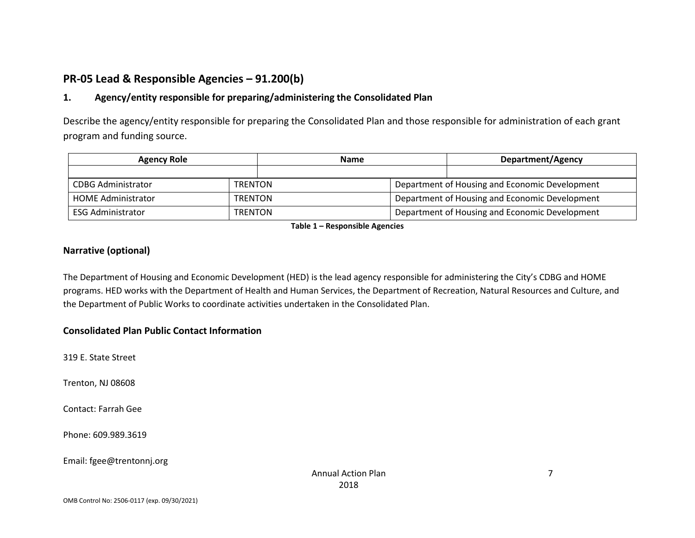### **PR-05 Lead & Responsible Agencies – 91.200(b)**

### **1. Agency/entity responsible for preparing/administering the Consolidated Plan**

Describe the agency/entity responsible for preparing the Consolidated Plan and those responsible for administration of each grant program and funding source.

| <b>Agency Role</b>                         | <b>Name</b>    |  | Department/Agency                              |  |  |
|--------------------------------------------|----------------|--|------------------------------------------------|--|--|
|                                            |                |  |                                                |  |  |
| CDBG Administrator                         | <b>TRENTON</b> |  | Department of Housing and Economic Development |  |  |
| <b>HOME Administrator</b>                  | <b>TRENTON</b> |  | Department of Housing and Economic Development |  |  |
| <b>ESG Administrator</b><br><b>TRENTON</b> |                |  | Department of Housing and Economic Development |  |  |

**Table 1 – Responsible Agencies**

### **Narrative (optional)**

The Department of Housing and Economic Development (HED) is the lead agency responsible for administering the City's CDBG and HOME programs. HED works with the Department of Health and Human Services, the Department of Recreation, Natural Resources and Culture, and the Department of Public Works to coordinate activities undertaken in the Consolidated Plan.

### **Consolidated Plan Public Contact Information**

319 E. State Street

Trenton, NJ 08608

Contact: Farrah Gee

Phone: 609.989.3619

Email: fgee@trentonnj.org

7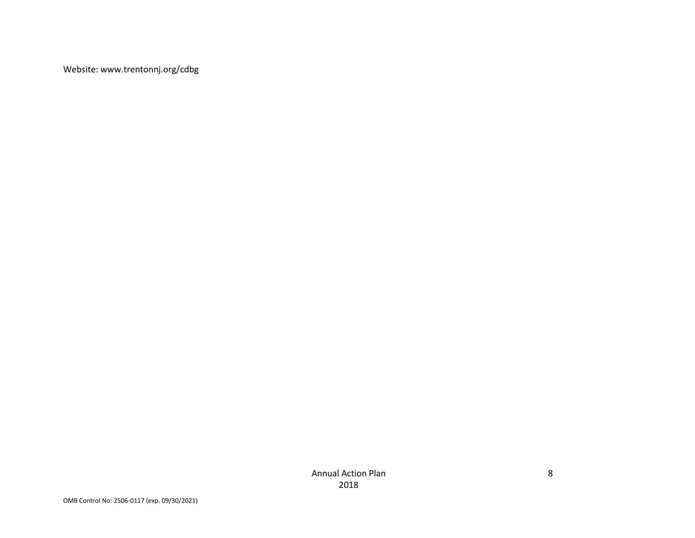Website: www.trentonnj.org/cdbg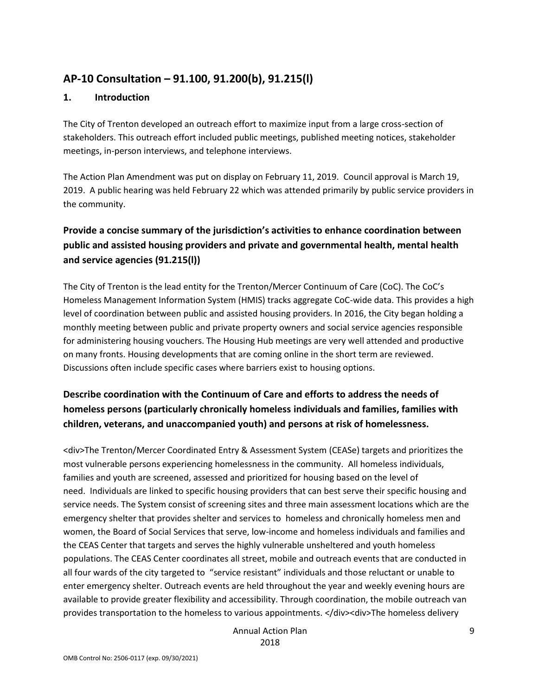### **AP-10 Consultation – 91.100, 91.200(b), 91.215(l)**

#### **1. Introduction**

The City of Trenton developed an outreach effort to maximize input from a large cross-section of stakeholders. This outreach effort included public meetings, published meeting notices, stakeholder meetings, in-person interviews, and telephone interviews.

The Action Plan Amendment was put on display on February 11, 2019. Council approval is March 19, 2019. A public hearing was held February 22 which was attended primarily by public service providers in the community.

### **Provide a concise summary of the jurisdiction's activities to enhance coordination between public and assisted housing providers and private and governmental health, mental health and service agencies (91.215(l))**

The City of Trenton is the lead entity for the Trenton/Mercer Continuum of Care (CoC). The CoC's Homeless Management Information System (HMIS) tracks aggregate CoC-wide data. This provides a high level of coordination between public and assisted housing providers. In 2016, the City began holding a monthly meeting between public and private property owners and social service agencies responsible for administering housing vouchers. The Housing Hub meetings are very well attended and productive on many fronts. Housing developments that are coming online in the short term are reviewed. Discussions often include specific cases where barriers exist to housing options.

### **Describe coordination with the Continuum of Care and efforts to address the needs of homeless persons (particularly chronically homeless individuals and families, families with children, veterans, and unaccompanied youth) and persons at risk of homelessness.**

<div>The Trenton/Mercer Coordinated Entry & Assessment System (CEASe) targets and prioritizes the most vulnerable persons experiencing homelessness in the community. All homeless individuals, families and youth are screened, assessed and prioritized for housing based on the level of need. Individuals are linked to specific housing providers that can best serve their specific housing and service needs. The System consist of screening sites and three main assessment locations which are the emergency shelter that provides shelter and services to homeless and chronically homeless men and women, the Board of Social Services that serve, low-income and homeless individuals and families and the CEAS Center that targets and serves the highly vulnerable unsheltered and youth homeless populations. The CEAS Center coordinates all street, mobile and outreach events that are conducted in all four wards of the city targeted to "service resistant" individuals and those reluctant or unable to enter emergency shelter. Outreach events are held throughout the year and weekly evening hours are available to provide greater flexibility and accessibility. Through coordination, the mobile outreach van provides transportation to the homeless to various appointments. </div><div>The homeless delivery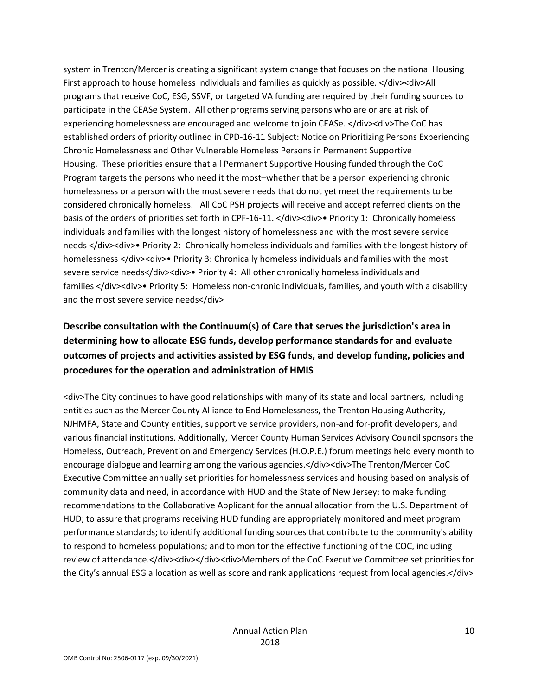system in Trenton/Mercer is creating a significant system change that focuses on the national Housing First approach to house homeless individuals and families as quickly as possible. </div><div>All programs that receive CoC, ESG, SSVF, or targeted VA funding are required by their funding sources to participate in the CEASe System. All other programs serving persons who are or are at risk of experiencing homelessness are encouraged and welcome to join CEASe. </div><div>The CoC has established orders of priority outlined in CPD-16-11 Subject: Notice on Prioritizing Persons Experiencing Chronic Homelessness and Other Vulnerable Homeless Persons in Permanent Supportive Housing. These priorities ensure that all Permanent Supportive Housing funded through the CoC Program targets the persons who need it the most–whether that be a person experiencing chronic homelessness or a person with the most severe needs that do not yet meet the requirements to be considered chronically homeless. All CoC PSH projects will receive and accept referred clients on the basis of the orders of priorities set forth in CPF-16-11. </div><div>• Priority 1: Chronically homeless individuals and families with the longest history of homelessness and with the most severe service needs </div><div>• Priority 2: Chronically homeless individuals and families with the longest history of homelessness </div><div>• Priority 3: Chronically homeless individuals and families with the most severe service needs</div><div>• Priority 4: All other chronically homeless individuals and families </div><div>• Priority 5: Homeless non-chronic individuals, families, and youth with a disability and the most severe service needs</div>

### **Describe consultation with the Continuum(s) of Care that serves the jurisdiction's area in determining how to allocate ESG funds, develop performance standards for and evaluate outcomes of projects and activities assisted by ESG funds, and develop funding, policies and procedures for the operation and administration of HMIS**

<div>The City continues to have good relationships with many of its state and local partners, including entities such as the Mercer County Alliance to End Homelessness, the Trenton Housing Authority, NJHMFA, State and County entities, supportive service providers, non-and for-profit developers, and various financial institutions. Additionally, Mercer County Human Services Advisory Council sponsors the Homeless, Outreach, Prevention and Emergency Services (H.O.P.E.) forum meetings held every month to encourage dialogue and learning among the various agencies.</div><div>The Trenton/Mercer CoC Executive Committee annually set priorities for homelessness services and housing based on analysis of community data and need, in accordance with HUD and the State of New Jersey; to make funding recommendations to the Collaborative Applicant for the annual allocation from the U.S. Department of HUD; to assure that programs receiving HUD funding are appropriately monitored and meet program performance standards; to identify additional funding sources that contribute to the community's ability to respond to homeless populations; and to monitor the effective functioning of the COC, including review of attendance.</div><div></div><div>Members of the CoC Executive Committee set priorities for the City's annual ESG allocation as well as score and rank applications request from local agencies.</div>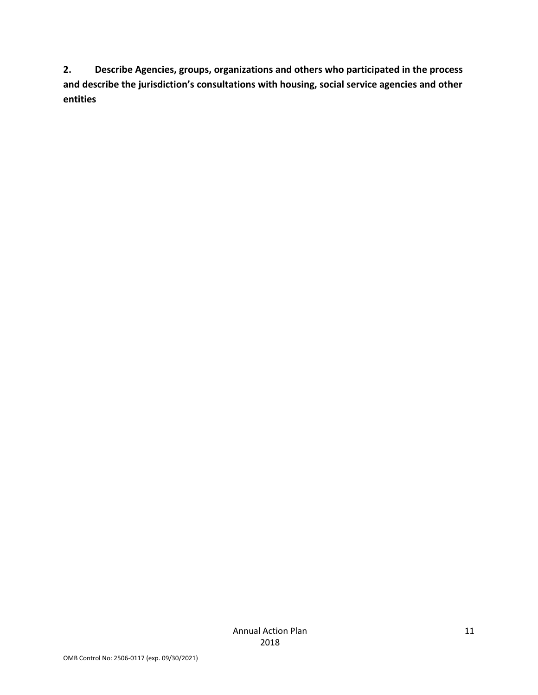**2. Describe Agencies, groups, organizations and others who participated in the process and describe the jurisdiction's consultations with housing, social service agencies and other entities**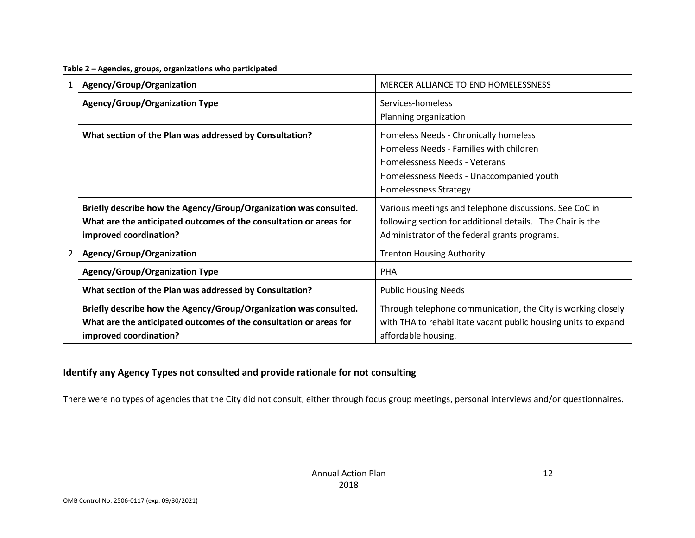| 1 | Agency/Group/Organization                                                                                                                                         | MERCER ALLIANCE TO END HOMELESSNESS                                                                                                                                                    |
|---|-------------------------------------------------------------------------------------------------------------------------------------------------------------------|----------------------------------------------------------------------------------------------------------------------------------------------------------------------------------------|
|   | <b>Agency/Group/Organization Type</b>                                                                                                                             | Services-homeless<br>Planning organization                                                                                                                                             |
|   | What section of the Plan was addressed by Consultation?                                                                                                           | Homeless Needs - Chronically homeless<br>Homeless Needs - Families with children<br>Homelessness Needs - Veterans<br>Homelessness Needs - Unaccompanied youth<br>Homelessness Strategy |
|   | Briefly describe how the Agency/Group/Organization was consulted.<br>What are the anticipated outcomes of the consultation or areas for<br>improved coordination? | Various meetings and telephone discussions. See CoC in<br>following section for additional details. The Chair is the<br>Administrator of the federal grants programs.                  |
| 2 | Agency/Group/Organization                                                                                                                                         | <b>Trenton Housing Authority</b>                                                                                                                                                       |
|   | Agency/Group/Organization Type                                                                                                                                    | <b>PHA</b>                                                                                                                                                                             |
|   | What section of the Plan was addressed by Consultation?                                                                                                           | <b>Public Housing Needs</b>                                                                                                                                                            |
|   | Briefly describe how the Agency/Group/Organization was consulted.<br>What are the anticipated outcomes of the consultation or areas for<br>improved coordination? | Through telephone communication, the City is working closely<br>with THA to rehabilitate vacant public housing units to expand<br>affordable housing.                                  |

#### **Table 2 – Agencies, groups, organizations who participated**

### **Identify any Agency Types not consulted and provide rationale for not consulting**

There were no types of agencies that the City did not consult, either through focus group meetings, personal interviews and/or questionnaires.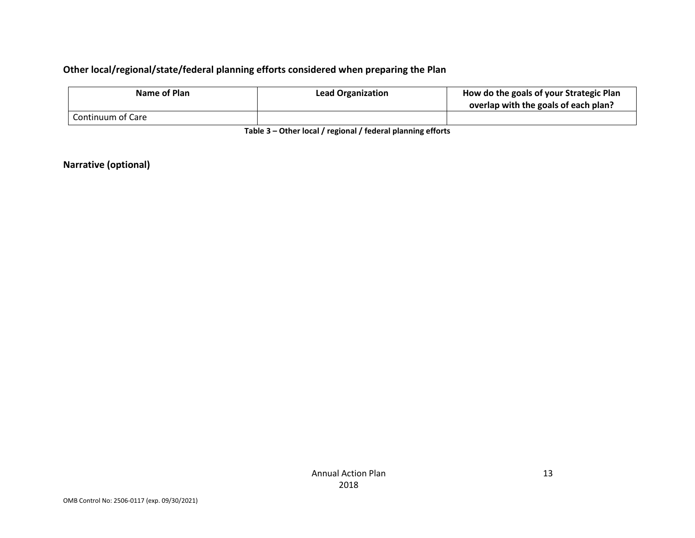### **Other local/regional/state/federal planning efforts considered when preparing the Plan**

| Name of Plan      | <b>Lead Organization</b> | How do the goals of your Strategic Plan<br>overlap with the goals of each plan? |
|-------------------|--------------------------|---------------------------------------------------------------------------------|
| Continuum of Care |                          |                                                                                 |

**Table 3 – Other local / regional / federal planning efforts**

**Narrative (optional)**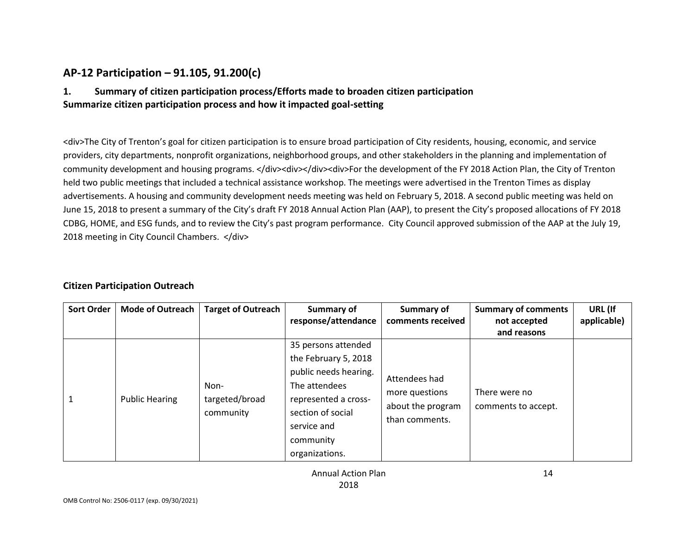### **AP-12 Participation – 91.105, 91.200(c)**

### **1. Summary of citizen participation process/Efforts made to broaden citizen participation Summarize citizen participation process and how it impacted goal-setting**

<div>The City of Trenton's goal for citizen participation is to ensure broad participation of City residents, housing, economic, and service providers, city departments, nonprofit organizations, neighborhood groups, and other stakeholders in the planning and implementation of community development and housing programs. </div><div><div><div>For the development of the FY 2018 Action Plan, the City of Trenton held two public meetings that included a technical assistance workshop. The meetings were advertised in the Trenton Times as display advertisements. A housing and community development needs meeting was held on February 5, 2018. A second public meeting was held on June 15, 2018 to present a summary of the City's draft FY 2018 Annual Action Plan (AAP), to present the City's proposed allocations of FY 2018 CDBG, HOME, and ESG funds, and to review the City's past program performance. City Council approved submission of the AAP at the July 19, 2018 meeting in City Council Chambers. </div>

#### **Citizen Participation Outreach**

| <b>Sort Order</b> | <b>Mode of Outreach</b> | <b>Target of Outreach</b> | Summary of<br>response/attendance | Summary of<br>comments received     | <b>Summary of comments</b><br>not accepted | URL (If<br>applicable) |
|-------------------|-------------------------|---------------------------|-----------------------------------|-------------------------------------|--------------------------------------------|------------------------|
|                   |                         |                           |                                   |                                     | and reasons                                |                        |
|                   |                         |                           | 35 persons attended               |                                     |                                            |                        |
|                   |                         |                           | the February 5, 2018              |                                     |                                            |                        |
|                   |                         |                           | public needs hearing.             | Attendees had                       |                                            |                        |
|                   |                         | Non-                      | The attendees                     |                                     | There were no                              |                        |
|                   | <b>Public Hearing</b>   | targeted/broad            | represented a cross-              | more questions                      |                                            |                        |
|                   |                         | community                 | section of social                 | about the program<br>than comments. | comments to accept.                        |                        |
|                   |                         |                           | service and                       |                                     |                                            |                        |
|                   |                         |                           | community                         |                                     |                                            |                        |
|                   |                         |                           | organizations.                    |                                     |                                            |                        |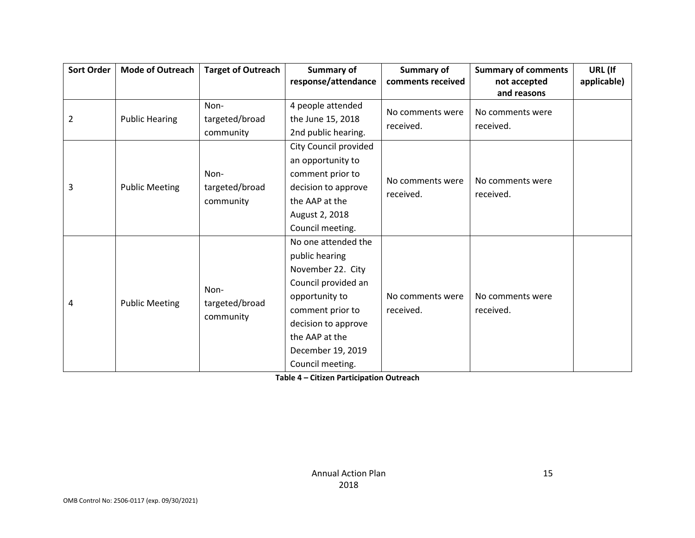| <b>Sort Order</b>          | <b>Mode of Outreach</b> | <b>Target of Outreach</b> | Summary of            | Summary of                    | <b>Summary of comments</b> | URL (If     |
|----------------------------|-------------------------|---------------------------|-----------------------|-------------------------------|----------------------------|-------------|
|                            |                         |                           | response/attendance   | comments received             | not accepted               | applicable) |
|                            |                         |                           |                       |                               | and reasons                |             |
|                            |                         | Non-                      | 4 people attended     | No comments were              | No comments were           |             |
| $\overline{2}$             | <b>Public Hearing</b>   | targeted/broad            | the June 15, 2018     | received.                     | received.                  |             |
|                            |                         | community                 | 2nd public hearing.   |                               |                            |             |
|                            |                         |                           | City Council provided |                               |                            |             |
|                            |                         |                           | an opportunity to     |                               |                            |             |
|                            |                         | Non-                      | comment prior to      |                               | No comments were           |             |
| 3                          | <b>Public Meeting</b>   | targeted/broad            | decision to approve   | No comments were<br>received. | received.                  |             |
|                            |                         | community                 | the AAP at the        |                               |                            |             |
|                            |                         |                           | August 2, 2018        |                               |                            |             |
|                            |                         |                           | Council meeting.      |                               |                            |             |
|                            |                         |                           | No one attended the   |                               |                            |             |
|                            |                         |                           | public hearing        |                               |                            |             |
|                            |                         |                           | November 22. City     |                               |                            |             |
|                            |                         |                           | Council provided an   |                               |                            |             |
|                            |                         | Non-                      | opportunity to        | No comments were              | No comments were           |             |
| <b>Public Meeting</b><br>4 |                         | targeted/broad            | comment prior to      | received.                     | received.                  |             |
|                            | community               | decision to approve       |                       |                               |                            |             |
|                            |                         |                           | the AAP at the        |                               |                            |             |
|                            |                         |                           | December 19, 2019     |                               |                            |             |
|                            |                         |                           | Council meeting.      |                               |                            |             |

**Table 4 – Citizen Participation Outreach**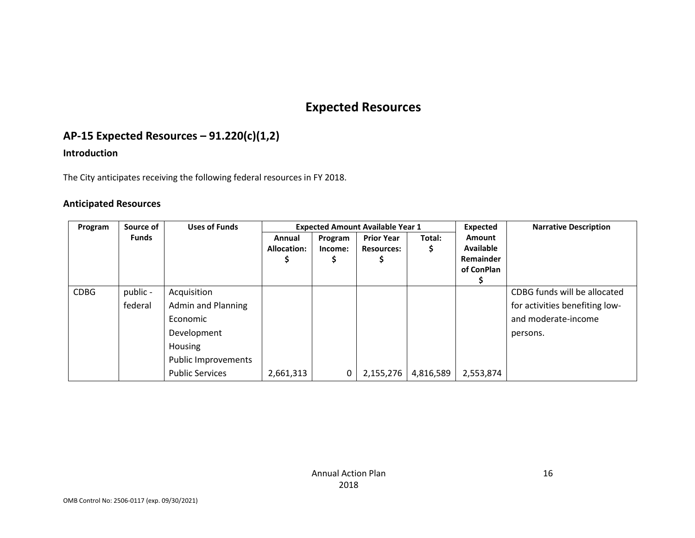# **Expected Resources**

### **AP-15 Expected Resources – 91.220(c)(1,2)**

### **Introduction**

The City anticipates receiving the following federal resources in FY 2018.

#### **Anticipated Resources**

| Program     | Source of    | <b>Uses of Funds</b>   |                              | <b>Expected Amount Available Year 1</b> |                                        |           |                                   | <b>Narrative Description</b>   |
|-------------|--------------|------------------------|------------------------------|-----------------------------------------|----------------------------------------|-----------|-----------------------------------|--------------------------------|
|             | <b>Funds</b> |                        | Annual<br><b>Allocation:</b> | Program<br>Income:                      | <b>Prior Year</b><br><b>Resources:</b> | Total:    | <b>Amount</b><br><b>Available</b> |                                |
|             |              |                        |                              |                                         |                                        |           | Remainder<br>of ConPlan           |                                |
|             |              |                        |                              |                                         |                                        |           |                                   |                                |
| <b>CDBG</b> | public -     | Acquisition            |                              |                                         |                                        |           |                                   | CDBG funds will be allocated   |
|             | federal      | Admin and Planning     |                              |                                         |                                        |           |                                   | for activities benefiting low- |
|             |              | Economic               |                              |                                         |                                        |           |                                   | and moderate-income            |
|             |              | Development            |                              |                                         |                                        |           |                                   | persons.                       |
|             |              | Housing                |                              |                                         |                                        |           |                                   |                                |
|             |              | Public Improvements    |                              |                                         |                                        |           |                                   |                                |
|             |              | <b>Public Services</b> | 2,661,313                    | 0                                       | 2,155,276                              | 4,816,589 | 2,553,874                         |                                |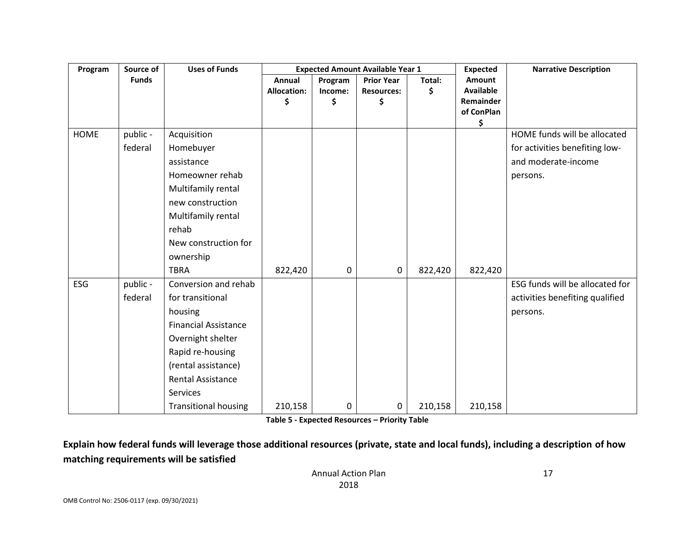| Program     | Source of    | <b>Uses of Funds</b>        |                    |               | <b>Expected Amount Available Year 1</b> | <b>Expected</b> | <b>Narrative Description</b>  |                                 |
|-------------|--------------|-----------------------------|--------------------|---------------|-----------------------------------------|-----------------|-------------------------------|---------------------------------|
|             | <b>Funds</b> |                             | Annual             | Program       | <b>Prior Year</b>                       | Total:          | Amount                        |                                 |
|             |              |                             | <b>Allocation:</b> | Income:<br>\$ | <b>Resources:</b>                       | \$              | <b>Available</b><br>Remainder |                                 |
|             |              |                             | \$                 |               | \$                                      |                 | of ConPlan                    |                                 |
|             |              |                             |                    |               |                                         |                 | \$                            |                                 |
| <b>HOME</b> | public -     | Acquisition                 |                    |               |                                         |                 |                               | HOME funds will be allocated    |
|             | federal      | Homebuyer                   |                    |               |                                         |                 |                               | for activities benefiting low-  |
|             |              | assistance                  |                    |               |                                         |                 |                               | and moderate-income             |
|             |              | Homeowner rehab             |                    |               |                                         |                 |                               | persons.                        |
|             |              | Multifamily rental          |                    |               |                                         |                 |                               |                                 |
|             |              | new construction            |                    |               |                                         |                 |                               |                                 |
|             |              | Multifamily rental          |                    |               |                                         |                 |                               |                                 |
|             |              | rehab                       |                    |               |                                         |                 |                               |                                 |
|             |              | New construction for        |                    |               |                                         |                 |                               |                                 |
|             |              | ownership                   |                    |               |                                         |                 |                               |                                 |
|             |              | <b>TBRA</b>                 | 822,420            | 0             | 0                                       | 822,420         | 822,420                       |                                 |
| ESG         | public -     | Conversion and rehab        |                    |               |                                         |                 |                               | ESG funds will be allocated for |
|             | federal      | for transitional            |                    |               |                                         |                 |                               | activities benefiting qualified |
|             |              | housing                     |                    |               |                                         |                 |                               | persons.                        |
|             |              | <b>Financial Assistance</b> |                    |               |                                         |                 |                               |                                 |
|             |              | Overnight shelter           |                    |               |                                         |                 |                               |                                 |
|             |              | Rapid re-housing            |                    |               |                                         |                 |                               |                                 |
|             |              | (rental assistance)         |                    |               |                                         |                 |                               |                                 |
|             |              | <b>Rental Assistance</b>    |                    |               |                                         |                 |                               |                                 |
|             |              | Services                    |                    |               |                                         |                 |                               |                                 |
|             |              | <b>Transitional housing</b> | 210,158            | 0             | 0                                       | 210,158         | 210,158                       |                                 |

**Table 5 - Expected Resources – Priority Table**

**Explain how federal funds will leverage those additional resources (private, state and local funds), including a description of how matching requirements will be satisfied**

> Annual Action Plan 2018

17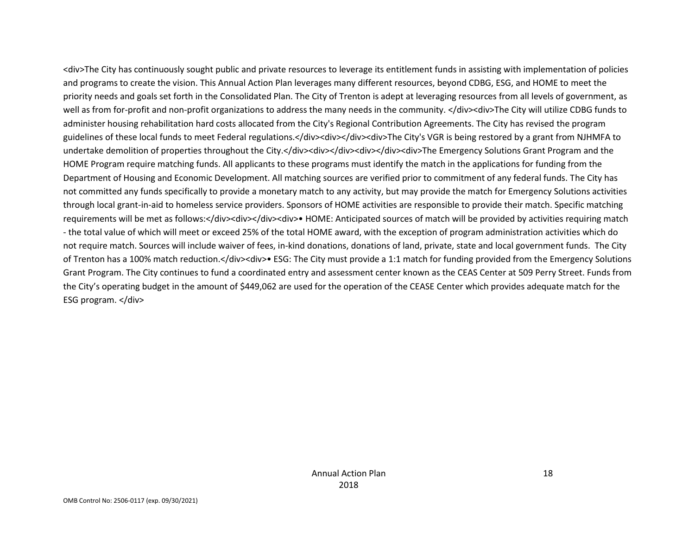<div>The City has continuously sought public and private resources to leverage its entitlement funds in assisting with implementation of policies and programs to create the vision. This Annual Action Plan leverages many different resources, beyond CDBG, ESG, and HOME to meet the priority needs and goals set forth in the Consolidated Plan. The City of Trenton is adept at leveraging resources from all levels of government, as well as from for-profit and non-profit organizations to address the many needs in the community. </div><div>The City will utilize CDBG funds to administer housing rehabilitation hard costs allocated from the City's Regional Contribution Agreements. The City has revised the program guidelines of these local funds to meet Federal regulations.</div><div></div><div>The City's VGR is being restored by a grant from NJHMFA to undertake demolition of properties throughout the City.</div><div></div><div></div><div>The Emergency Solutions Grant Program and the HOME Program require matching funds. All applicants to these programs must identify the match in the applications for funding from the Department of Housing and Economic Development. All matching sources are verified prior to commitment of any federal funds. The City has not committed any funds specifically to provide a monetary match to any activity, but may provide the match for Emergency Solutions activities through local grant-in-aid to homeless service providers. Sponsors of HOME activities are responsible to provide their match. Specific matching requirements will be met as follows:</div><div></div><div>• HOME: Anticipated sources of match will be provided by activities requiring match - the total value of which will meet or exceed 25% of the total HOME award, with the exception of program administration activities which do not require match. Sources will include waiver of fees, in-kind donations, donations of land, private, state and local government funds. The City of Trenton has a 100% match reduction.</div><div>• ESG: The City must provide a 1:1 match for funding provided from the Emergency Solutions Grant Program. The City continues to fund a coordinated entry and assessment center known as the CEAS Center at 509 Perry Street. Funds from the City's operating budget in the amount of \$449,062 are used for the operation of the CEASE Center which provides adequate match for the ESG program. </div>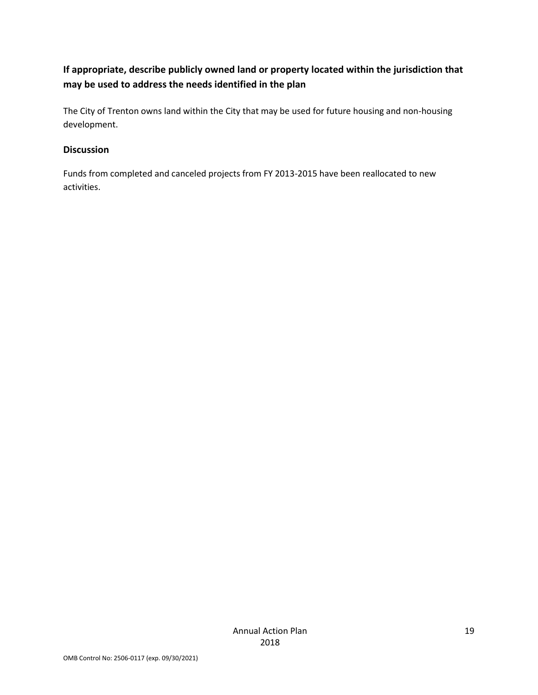### **If appropriate, describe publicly owned land or property located within the jurisdiction that may be used to address the needs identified in the plan**

The City of Trenton owns land within the City that may be used for future housing and non-housing development.

### **Discussion**

Funds from completed and canceled projects from FY 2013-2015 have been reallocated to new activities.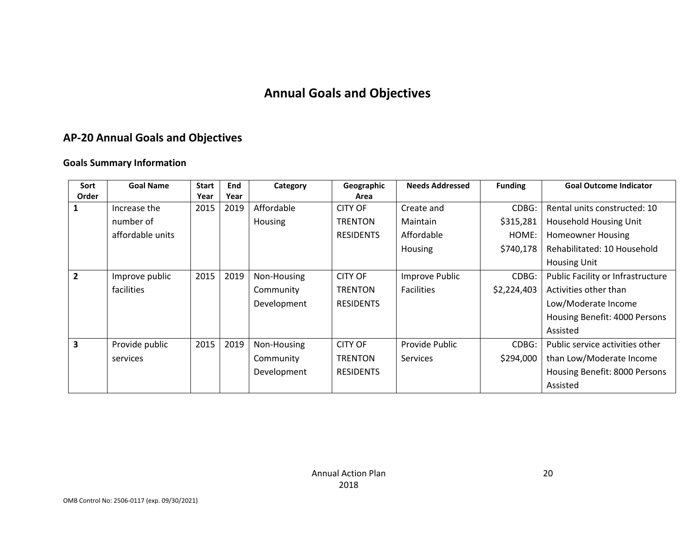# **Annual Goals and Objectives**

### **AP-20 Annual Goals and Objectives**

#### **Goals Summary Information**

| Sort           | <b>Goal Name</b> | <b>Start</b> | End  | Category    | Geographic       | <b>Needs Addressed</b> | <b>Funding</b> | <b>Goal Outcome Indicator</b>     |
|----------------|------------------|--------------|------|-------------|------------------|------------------------|----------------|-----------------------------------|
| Order          |                  | Year         | Year |             | Area             |                        |                |                                   |
| 1              | Increase the     | 2015         | 2019 | Affordable  | <b>CITY OF</b>   | Create and             | CDBG:          | Rental units constructed: 10      |
|                | number of        |              |      | Housing     | <b>TRENTON</b>   | Maintain               | \$315,281      | Household Housing Unit            |
|                | affordable units |              |      |             | <b>RESIDENTS</b> | Affordable             | HOME:          | <b>Homeowner Housing</b>          |
|                |                  |              |      |             |                  | <b>Housing</b>         | \$740,178      | Rehabilitated: 10 Household       |
|                |                  |              |      |             |                  |                        |                | <b>Housing Unit</b>               |
| $\overline{2}$ | Improve public   | 2015         | 2019 | Non-Housing | <b>CITY OF</b>   | Improve Public         | CDBG:          | Public Facility or Infrastructure |
|                | facilities       |              |      | Community   | <b>TRENTON</b>   | <b>Facilities</b>      | \$2,224,403    | Activities other than             |
|                |                  |              |      | Development | <b>RESIDENTS</b> |                        |                | Low/Moderate Income               |
|                |                  |              |      |             |                  |                        |                | Housing Benefit: 4000 Persons     |
|                |                  |              |      |             |                  |                        |                | Assisted                          |
| 3              | Provide public   | 2015         | 2019 | Non-Housing | <b>CITY OF</b>   | Provide Public         | CDBG:          | Public service activities other   |
|                | services         |              |      | Community   | <b>TRENTON</b>   | <b>Services</b>        | \$294,000      | than Low/Moderate Income          |
|                |                  |              |      | Development | <b>RESIDENTS</b> |                        |                | Housing Benefit: 8000 Persons     |
|                |                  |              |      |             |                  |                        |                | Assisted                          |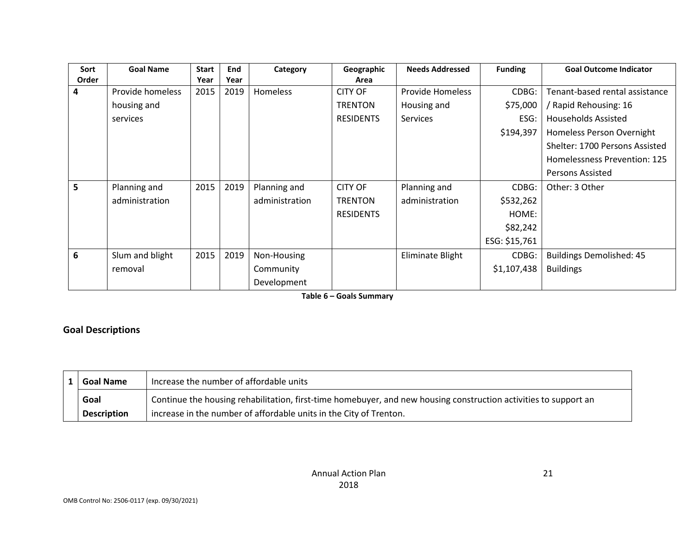| Sort  | <b>Goal Name</b> | <b>Start</b> | End  | Category        | Geographic       | <b>Needs Addressed</b>  | <b>Funding</b> | <b>Goal Outcome Indicator</b>   |
|-------|------------------|--------------|------|-----------------|------------------|-------------------------|----------------|---------------------------------|
| Order |                  | Year         | Year |                 | Area             |                         |                |                                 |
| 4     | Provide homeless | 2015         | 2019 | <b>Homeless</b> | <b>CITY OF</b>   | <b>Provide Homeless</b> | CDBG:          | Tenant-based rental assistance  |
|       | housing and      |              |      |                 | <b>TRENTON</b>   | Housing and             | \$75,000       | Rapid Rehousing: 16             |
|       | services         |              |      |                 | <b>RESIDENTS</b> | <b>Services</b>         | ESG:           | <b>Households Assisted</b>      |
|       |                  |              |      |                 |                  |                         | \$194,397      | Homeless Person Overnight       |
|       |                  |              |      |                 |                  |                         |                | Shelter: 1700 Persons Assisted  |
|       |                  |              |      |                 |                  |                         |                | Homelessness Prevention: 125    |
|       |                  |              |      |                 |                  |                         |                | Persons Assisted                |
| 5.    | Planning and     | 2015         | 2019 | Planning and    | <b>CITY OF</b>   | Planning and            | CDBG:          | Other: 3 Other                  |
|       | administration   |              |      | administration  | <b>TRENTON</b>   | administration          | \$532,262      |                                 |
|       |                  |              |      |                 | <b>RESIDENTS</b> |                         | HOME:          |                                 |
|       |                  |              |      |                 |                  |                         | \$82,242       |                                 |
|       |                  |              |      |                 |                  |                         | ESG: \$15,761  |                                 |
| 6     | Slum and blight  | 2015         | 2019 | Non-Housing     |                  | Eliminate Blight        | CDBG:          | <b>Buildings Demolished: 45</b> |
|       | removal          |              |      | Community       |                  |                         | \$1,107,438    | <b>Buildings</b>                |
|       |                  |              |      | Development     |                  |                         |                |                                 |

**Table 6 – Goals Summary**

### **Goal Descriptions**

| 1   Goal Name      | Increase the number of affordable units                                                                          |
|--------------------|------------------------------------------------------------------------------------------------------------------|
| Goal               | Continue the housing rehabilitation, first-time homebuyer, and new housing construction activities to support an |
| <b>Description</b> | increase in the number of affordable units in the City of Trenton.                                               |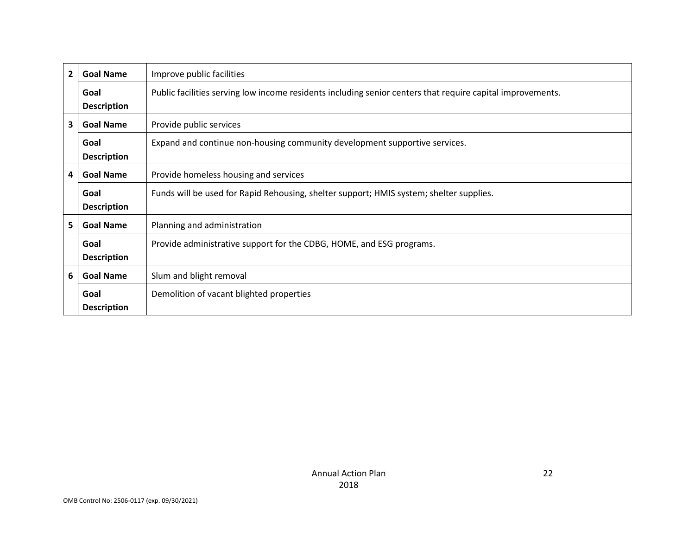| $\overline{2}$ | <b>Goal Name</b>   | Improve public facilities                                                                                  |
|----------------|--------------------|------------------------------------------------------------------------------------------------------------|
|                | Goal               | Public facilities serving low income residents including senior centers that require capital improvements. |
|                | <b>Description</b> |                                                                                                            |
| 3              | <b>Goal Name</b>   | Provide public services                                                                                    |
|                | Goal               | Expand and continue non-housing community development supportive services.                                 |
|                | <b>Description</b> |                                                                                                            |
| 4              | <b>Goal Name</b>   | Provide homeless housing and services                                                                      |
|                | Goal               | Funds will be used for Rapid Rehousing, shelter support; HMIS system; shelter supplies.                    |
|                | <b>Description</b> |                                                                                                            |
| 5              | <b>Goal Name</b>   | Planning and administration                                                                                |
|                | Goal               | Provide administrative support for the CDBG, HOME, and ESG programs.                                       |
|                | <b>Description</b> |                                                                                                            |
| 6              | <b>Goal Name</b>   | Slum and blight removal                                                                                    |
|                | Goal               | Demolition of vacant blighted properties                                                                   |
|                | <b>Description</b> |                                                                                                            |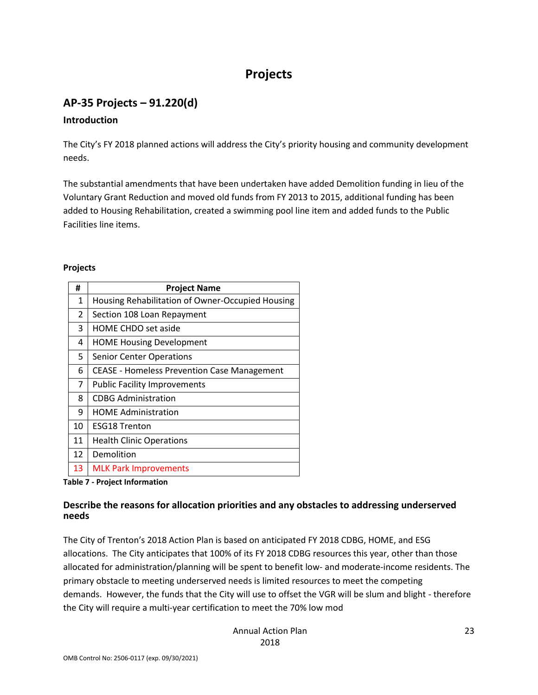# **Projects**

### **AP-35 Projects – 91.220(d)**

#### **Introduction**

The City's FY 2018 planned actions will address the City's priority housing and community development needs.

The substantial amendments that have been undertaken have added Demolition funding in lieu of the Voluntary Grant Reduction and moved old funds from FY 2013 to 2015, additional funding has been added to Housing Rehabilitation, created a swimming pool line item and added funds to the Public Facilities line items.

#### **Projects**

| #  | <b>Project Name</b>                                |
|----|----------------------------------------------------|
| 1  | Housing Rehabilitation of Owner-Occupied Housing   |
| 2  | Section 108 Loan Repayment                         |
| 3  | <b>HOME CHDO set aside</b>                         |
| 4  | <b>HOME Housing Development</b>                    |
| 5  | <b>Senior Center Operations</b>                    |
| 6  | <b>CEASE - Homeless Prevention Case Management</b> |
| 7  | <b>Public Facility Improvements</b>                |
| 8  | <b>CDBG Administration</b>                         |
| 9  | <b>HOME Administration</b>                         |
| 10 | <b>ESG18 Trenton</b>                               |
| 11 | <b>Health Clinic Operations</b>                    |
| 12 | Demolition                                         |
| 13 | <b>MLK Park Improvements</b>                       |

**Table 7 - Project Information**

### **Describe the reasons for allocation priorities and any obstacles to addressing underserved needs**

The City of Trenton's 2018 Action Plan is based on anticipated FY 2018 CDBG, HOME, and ESG allocations. The City anticipates that 100% of its FY 2018 CDBG resources this year, other than those allocated for administration/planning will be spent to benefit low- and moderate-income residents. The primary obstacle to meeting underserved needs is limited resources to meet the competing demands. However, the funds that the City will use to offset the VGR will be slum and blight - therefore the City will require a multi-year certification to meet the 70% low mod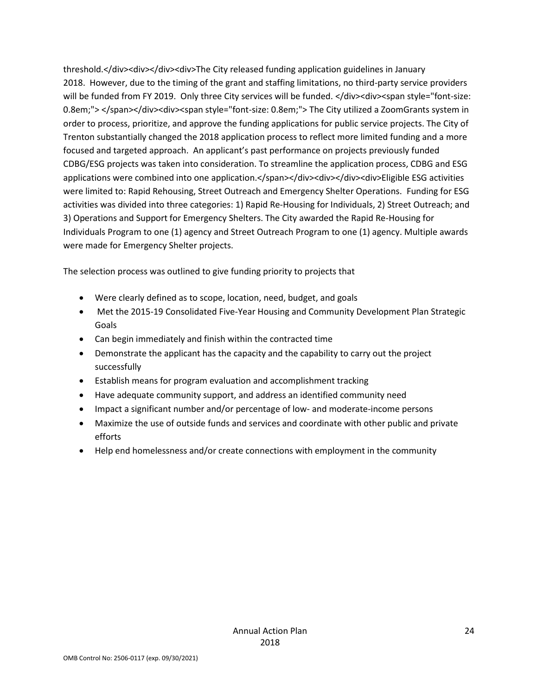threshold.</div><div></div><div>The City released funding application guidelines in January 2018. However, due to the timing of the grant and staffing limitations, no third-party service providers will be funded from FY 2019. Only three City services will be funded. </div><div><span style="font-size: 0.8em;"> </span></div><div><span style="font-size: 0.8em;"> The City utilized a ZoomGrants system in order to process, prioritize, and approve the funding applications for public service projects. The City of Trenton substantially changed the 2018 application process to reflect more limited funding and a more focused and targeted approach. An applicant's past performance on projects previously funded CDBG/ESG projects was taken into consideration. To streamline the application process, CDBG and ESG applications were combined into one application.</span></div><div></div><div>Eligible ESG activities were limited to: Rapid Rehousing, Street Outreach and Emergency Shelter Operations. Funding for ESG activities was divided into three categories: 1) Rapid Re-Housing for Individuals, 2) Street Outreach; and 3) Operations and Support for Emergency Shelters. The City awarded the Rapid Re-Housing for Individuals Program to one (1) agency and Street Outreach Program to one (1) agency. Multiple awards were made for Emergency Shelter projects.

The selection process was outlined to give funding priority to projects that

- Were clearly defined as to scope, location, need, budget, and goals
- Met the 2015-19 Consolidated Five-Year Housing and Community Development Plan Strategic Goals
- Can begin immediately and finish within the contracted time
- Demonstrate the applicant has the capacity and the capability to carry out the project successfully
- Establish means for program evaluation and accomplishment tracking
- Have adequate community support, and address an identified community need
- Impact a significant number and/or percentage of low- and moderate-income persons
- Maximize the use of outside funds and services and coordinate with other public and private efforts
- Help end homelessness and/or create connections with employment in the community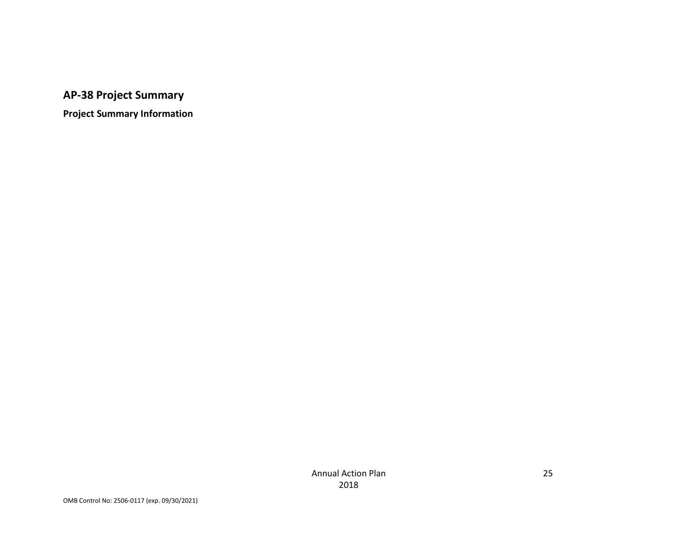# **AP-38 Project Summary**

**Project Summary Information**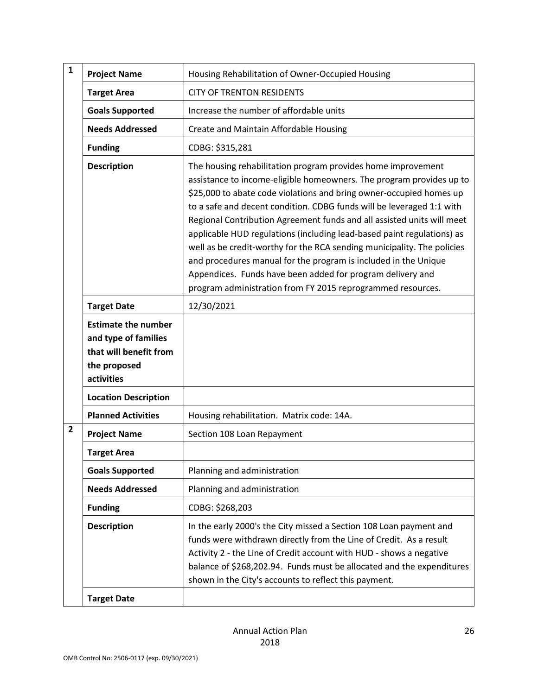| $\mathbf{1}$   | <b>Project Name</b>                                                                                        | Housing Rehabilitation of Owner-Occupied Housing                                                                                                                                                                                                                                                                                                                                                                                                                                                                                                                                                                                                                                                                    |
|----------------|------------------------------------------------------------------------------------------------------------|---------------------------------------------------------------------------------------------------------------------------------------------------------------------------------------------------------------------------------------------------------------------------------------------------------------------------------------------------------------------------------------------------------------------------------------------------------------------------------------------------------------------------------------------------------------------------------------------------------------------------------------------------------------------------------------------------------------------|
|                | <b>Target Area</b>                                                                                         | <b>CITY OF TRENTON RESIDENTS</b>                                                                                                                                                                                                                                                                                                                                                                                                                                                                                                                                                                                                                                                                                    |
|                | <b>Goals Supported</b>                                                                                     | Increase the number of affordable units                                                                                                                                                                                                                                                                                                                                                                                                                                                                                                                                                                                                                                                                             |
|                | <b>Needs Addressed</b>                                                                                     | Create and Maintain Affordable Housing                                                                                                                                                                                                                                                                                                                                                                                                                                                                                                                                                                                                                                                                              |
|                | <b>Funding</b>                                                                                             | CDBG: \$315,281                                                                                                                                                                                                                                                                                                                                                                                                                                                                                                                                                                                                                                                                                                     |
|                | <b>Description</b>                                                                                         | The housing rehabilitation program provides home improvement<br>assistance to income-eligible homeowners. The program provides up to<br>\$25,000 to abate code violations and bring owner-occupied homes up<br>to a safe and decent condition. CDBG funds will be leveraged 1:1 with<br>Regional Contribution Agreement funds and all assisted units will meet<br>applicable HUD regulations (including lead-based paint regulations) as<br>well as be credit-worthy for the RCA sending municipality. The policies<br>and procedures manual for the program is included in the Unique<br>Appendices. Funds have been added for program delivery and<br>program administration from FY 2015 reprogrammed resources. |
|                | <b>Target Date</b>                                                                                         | 12/30/2021                                                                                                                                                                                                                                                                                                                                                                                                                                                                                                                                                                                                                                                                                                          |
|                | <b>Estimate the number</b><br>and type of families<br>that will benefit from<br>the proposed<br>activities |                                                                                                                                                                                                                                                                                                                                                                                                                                                                                                                                                                                                                                                                                                                     |
|                | <b>Location Description</b>                                                                                |                                                                                                                                                                                                                                                                                                                                                                                                                                                                                                                                                                                                                                                                                                                     |
|                | <b>Planned Activities</b>                                                                                  | Housing rehabilitation. Matrix code: 14A.                                                                                                                                                                                                                                                                                                                                                                                                                                                                                                                                                                                                                                                                           |
| $\overline{2}$ | <b>Project Name</b>                                                                                        | Section 108 Loan Repayment                                                                                                                                                                                                                                                                                                                                                                                                                                                                                                                                                                                                                                                                                          |
|                | <b>Target Area</b>                                                                                         |                                                                                                                                                                                                                                                                                                                                                                                                                                                                                                                                                                                                                                                                                                                     |
|                | <b>Goals Supported</b>                                                                                     | Planning and administration                                                                                                                                                                                                                                                                                                                                                                                                                                                                                                                                                                                                                                                                                         |
|                | <b>Needs Addressed</b>                                                                                     | Planning and administration                                                                                                                                                                                                                                                                                                                                                                                                                                                                                                                                                                                                                                                                                         |
|                | <b>Funding</b>                                                                                             | CDBG: \$268,203                                                                                                                                                                                                                                                                                                                                                                                                                                                                                                                                                                                                                                                                                                     |
|                | <b>Description</b>                                                                                         | In the early 2000's the City missed a Section 108 Loan payment and<br>funds were withdrawn directly from the Line of Credit. As a result<br>Activity 2 - the Line of Credit account with HUD - shows a negative<br>balance of \$268,202.94. Funds must be allocated and the expenditures<br>shown in the City's accounts to reflect this payment.                                                                                                                                                                                                                                                                                                                                                                   |
|                | <b>Target Date</b>                                                                                         |                                                                                                                                                                                                                                                                                                                                                                                                                                                                                                                                                                                                                                                                                                                     |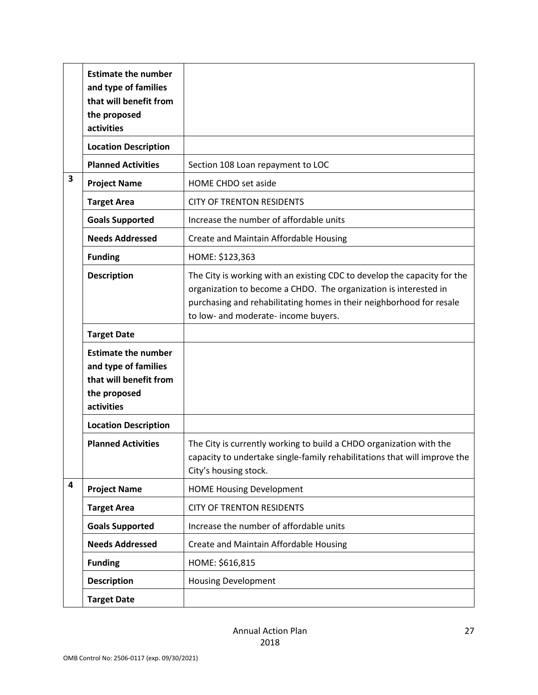|                         | <b>Estimate the number</b><br>and type of families<br>that will benefit from<br>the proposed<br>activities |                                                                                                                                                                                                                                                              |
|-------------------------|------------------------------------------------------------------------------------------------------------|--------------------------------------------------------------------------------------------------------------------------------------------------------------------------------------------------------------------------------------------------------------|
|                         | <b>Location Description</b>                                                                                |                                                                                                                                                                                                                                                              |
|                         | <b>Planned Activities</b>                                                                                  | Section 108 Loan repayment to LOC                                                                                                                                                                                                                            |
| 3                       | <b>Project Name</b>                                                                                        | <b>HOME CHDO set aside</b>                                                                                                                                                                                                                                   |
|                         | <b>Target Area</b>                                                                                         | <b>CITY OF TRENTON RESIDENTS</b>                                                                                                                                                                                                                             |
|                         | <b>Goals Supported</b>                                                                                     | Increase the number of affordable units                                                                                                                                                                                                                      |
|                         | <b>Needs Addressed</b>                                                                                     | Create and Maintain Affordable Housing                                                                                                                                                                                                                       |
|                         | <b>Funding</b>                                                                                             | HOME: \$123,363                                                                                                                                                                                                                                              |
|                         | <b>Description</b>                                                                                         | The City is working with an existing CDC to develop the capacity for the<br>organization to become a CHDO. The organization is interested in<br>purchasing and rehabilitating homes in their neighborhood for resale<br>to low- and moderate- income buyers. |
|                         | <b>Target Date</b>                                                                                         |                                                                                                                                                                                                                                                              |
|                         | <b>Estimate the number</b><br>and type of families<br>that will benefit from<br>the proposed<br>activities |                                                                                                                                                                                                                                                              |
|                         | <b>Location Description</b>                                                                                |                                                                                                                                                                                                                                                              |
|                         | <b>Planned Activities</b>                                                                                  | The City is currently working to build a CHDO organization with the<br>capacity to undertake single-family rehabilitations that will improve the<br>City's housing stock.                                                                                    |
| $\overline{\mathbf{4}}$ | <b>Project Name</b>                                                                                        | <b>HOME Housing Development</b>                                                                                                                                                                                                                              |
|                         | <b>Target Area</b>                                                                                         | <b>CITY OF TRENTON RESIDENTS</b>                                                                                                                                                                                                                             |
|                         | <b>Goals Supported</b>                                                                                     | Increase the number of affordable units                                                                                                                                                                                                                      |
|                         | <b>Needs Addressed</b>                                                                                     | Create and Maintain Affordable Housing                                                                                                                                                                                                                       |
|                         | <b>Funding</b>                                                                                             | HOME: \$616,815                                                                                                                                                                                                                                              |
|                         | <b>Description</b>                                                                                         | <b>Housing Development</b>                                                                                                                                                                                                                                   |
|                         | <b>Target Date</b>                                                                                         |                                                                                                                                                                                                                                                              |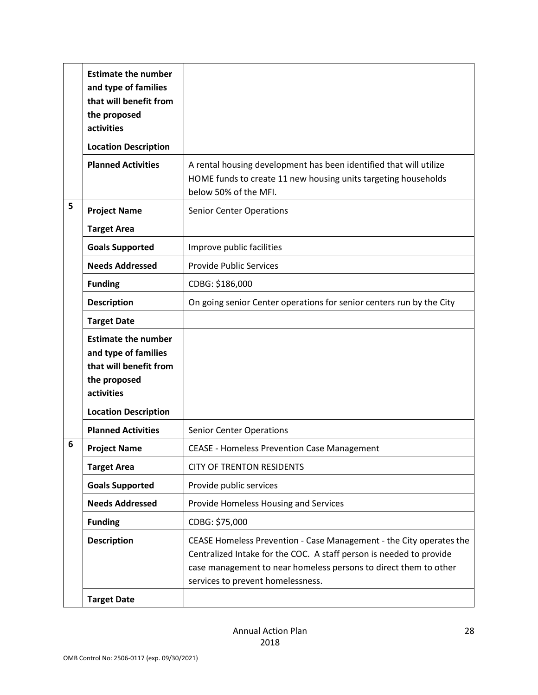|   | <b>Estimate the number</b><br>and type of families<br>that will benefit from<br>the proposed<br>activities |                                                                                                                                                                                                                                                     |
|---|------------------------------------------------------------------------------------------------------------|-----------------------------------------------------------------------------------------------------------------------------------------------------------------------------------------------------------------------------------------------------|
|   | <b>Location Description</b>                                                                                |                                                                                                                                                                                                                                                     |
|   | <b>Planned Activities</b>                                                                                  | A rental housing development has been identified that will utilize<br>HOME funds to create 11 new housing units targeting households<br>below 50% of the MFI.                                                                                       |
| 5 | <b>Project Name</b>                                                                                        | <b>Senior Center Operations</b>                                                                                                                                                                                                                     |
|   | <b>Target Area</b>                                                                                         |                                                                                                                                                                                                                                                     |
|   | <b>Goals Supported</b>                                                                                     | Improve public facilities                                                                                                                                                                                                                           |
|   | <b>Needs Addressed</b>                                                                                     | <b>Provide Public Services</b>                                                                                                                                                                                                                      |
|   | <b>Funding</b>                                                                                             | CDBG: \$186,000                                                                                                                                                                                                                                     |
|   | <b>Description</b>                                                                                         | On going senior Center operations for senior centers run by the City                                                                                                                                                                                |
|   | <b>Target Date</b>                                                                                         |                                                                                                                                                                                                                                                     |
|   | <b>Estimate the number</b><br>and type of families<br>that will benefit from<br>the proposed<br>activities |                                                                                                                                                                                                                                                     |
|   | <b>Location Description</b>                                                                                |                                                                                                                                                                                                                                                     |
|   | <b>Planned Activities</b>                                                                                  | <b>Senior Center Operations</b>                                                                                                                                                                                                                     |
| 6 | <b>Project Name</b>                                                                                        | <b>CEASE - Homeless Prevention Case Management</b>                                                                                                                                                                                                  |
|   | <b>Target Area</b>                                                                                         | <b>CITY OF TRENTON RESIDENTS</b>                                                                                                                                                                                                                    |
|   | <b>Goals Supported</b>                                                                                     | Provide public services                                                                                                                                                                                                                             |
|   | <b>Needs Addressed</b>                                                                                     | Provide Homeless Housing and Services                                                                                                                                                                                                               |
|   | <b>Funding</b>                                                                                             | CDBG: \$75,000                                                                                                                                                                                                                                      |
|   | <b>Description</b>                                                                                         | CEASE Homeless Prevention - Case Management - the City operates the<br>Centralized Intake for the COC. A staff person is needed to provide<br>case management to near homeless persons to direct them to other<br>services to prevent homelessness. |
|   | <b>Target Date</b>                                                                                         |                                                                                                                                                                                                                                                     |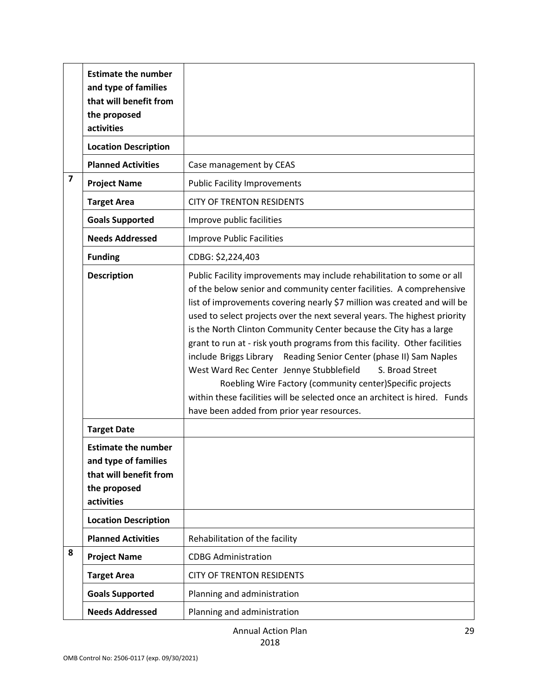|                         | <b>Estimate the number</b><br>and type of families<br>that will benefit from<br>the proposed<br>activities |                                                                                                                                                                                                                                                                                                                                                                                                                                                                                                                                                                                                                                                                                                                                                                                           |
|-------------------------|------------------------------------------------------------------------------------------------------------|-------------------------------------------------------------------------------------------------------------------------------------------------------------------------------------------------------------------------------------------------------------------------------------------------------------------------------------------------------------------------------------------------------------------------------------------------------------------------------------------------------------------------------------------------------------------------------------------------------------------------------------------------------------------------------------------------------------------------------------------------------------------------------------------|
|                         | <b>Location Description</b>                                                                                |                                                                                                                                                                                                                                                                                                                                                                                                                                                                                                                                                                                                                                                                                                                                                                                           |
|                         | <b>Planned Activities</b>                                                                                  | Case management by CEAS                                                                                                                                                                                                                                                                                                                                                                                                                                                                                                                                                                                                                                                                                                                                                                   |
| $\overline{\mathbf{z}}$ | <b>Project Name</b>                                                                                        | <b>Public Facility Improvements</b>                                                                                                                                                                                                                                                                                                                                                                                                                                                                                                                                                                                                                                                                                                                                                       |
|                         | <b>Target Area</b>                                                                                         | <b>CITY OF TRENTON RESIDENTS</b>                                                                                                                                                                                                                                                                                                                                                                                                                                                                                                                                                                                                                                                                                                                                                          |
|                         | <b>Goals Supported</b>                                                                                     | Improve public facilities                                                                                                                                                                                                                                                                                                                                                                                                                                                                                                                                                                                                                                                                                                                                                                 |
|                         | <b>Needs Addressed</b>                                                                                     | <b>Improve Public Facilities</b>                                                                                                                                                                                                                                                                                                                                                                                                                                                                                                                                                                                                                                                                                                                                                          |
|                         | <b>Funding</b>                                                                                             | CDBG: \$2,224,403                                                                                                                                                                                                                                                                                                                                                                                                                                                                                                                                                                                                                                                                                                                                                                         |
|                         | <b>Description</b>                                                                                         | Public Facility improvements may include rehabilitation to some or all<br>of the below senior and community center facilities. A comprehensive<br>list of improvements covering nearly \$7 million was created and will be<br>used to select projects over the next several years. The highest priority<br>is the North Clinton Community Center because the City has a large<br>grant to run at - risk youth programs from this facility. Other facilities<br>include Briggs Library Reading Senior Center (phase II) Sam Naples<br>West Ward Rec Center Jennye Stubblefield<br>S. Broad Street<br>Roebling Wire Factory (community center)Specific projects<br>within these facilities will be selected once an architect is hired. Funds<br>have been added from prior year resources. |
|                         | <b>Target Date</b>                                                                                         |                                                                                                                                                                                                                                                                                                                                                                                                                                                                                                                                                                                                                                                                                                                                                                                           |
|                         | <b>Estimate the number</b><br>and type of families<br>that will benefit from<br>the proposed<br>activities |                                                                                                                                                                                                                                                                                                                                                                                                                                                                                                                                                                                                                                                                                                                                                                                           |
|                         | <b>Location Description</b>                                                                                |                                                                                                                                                                                                                                                                                                                                                                                                                                                                                                                                                                                                                                                                                                                                                                                           |
|                         | <b>Planned Activities</b>                                                                                  | Rehabilitation of the facility                                                                                                                                                                                                                                                                                                                                                                                                                                                                                                                                                                                                                                                                                                                                                            |
| 8                       | <b>Project Name</b>                                                                                        | <b>CDBG Administration</b>                                                                                                                                                                                                                                                                                                                                                                                                                                                                                                                                                                                                                                                                                                                                                                |
|                         | <b>Target Area</b>                                                                                         | <b>CITY OF TRENTON RESIDENTS</b>                                                                                                                                                                                                                                                                                                                                                                                                                                                                                                                                                                                                                                                                                                                                                          |
|                         | <b>Goals Supported</b>                                                                                     | Planning and administration                                                                                                                                                                                                                                                                                                                                                                                                                                                                                                                                                                                                                                                                                                                                                               |
|                         | <b>Needs Addressed</b>                                                                                     | Planning and administration                                                                                                                                                                                                                                                                                                                                                                                                                                                                                                                                                                                                                                                                                                                                                               |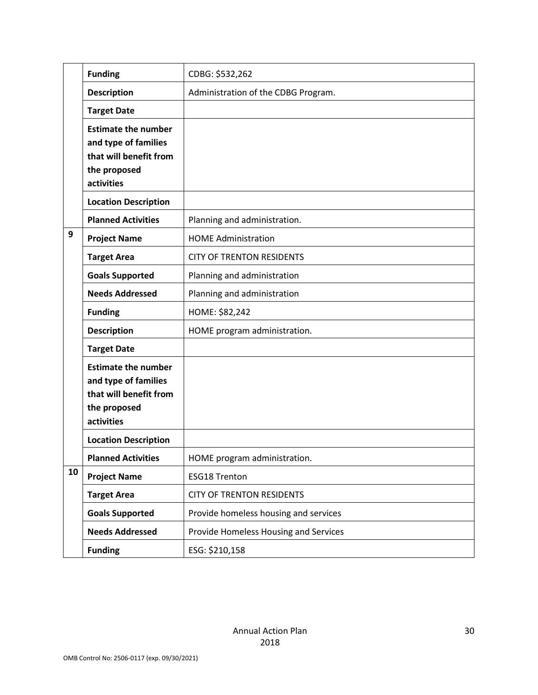|    | <b>Funding</b>                                                                                             | CDBG: \$532,262                       |
|----|------------------------------------------------------------------------------------------------------------|---------------------------------------|
|    | <b>Description</b>                                                                                         | Administration of the CDBG Program.   |
|    | <b>Target Date</b>                                                                                         |                                       |
|    | <b>Estimate the number</b><br>and type of families<br>that will benefit from<br>the proposed<br>activities |                                       |
|    | <b>Location Description</b>                                                                                |                                       |
|    | <b>Planned Activities</b>                                                                                  | Planning and administration.          |
| 9  | <b>Project Name</b>                                                                                        | <b>HOME Administration</b>            |
|    | <b>Target Area</b>                                                                                         | <b>CITY OF TRENTON RESIDENTS</b>      |
|    | <b>Goals Supported</b>                                                                                     | Planning and administration           |
|    | <b>Needs Addressed</b>                                                                                     | Planning and administration           |
|    | <b>Funding</b>                                                                                             | HOME: \$82,242                        |
|    | <b>Description</b>                                                                                         | HOME program administration.          |
|    | <b>Target Date</b>                                                                                         |                                       |
|    | <b>Estimate the number</b><br>and type of families<br>that will benefit from<br>the proposed<br>activities |                                       |
|    | <b>Location Description</b>                                                                                |                                       |
|    | <b>Planned Activities</b>                                                                                  | HOME program administration.          |
| 10 | <b>Project Name</b>                                                                                        | <b>ESG18 Trenton</b>                  |
|    | <b>Target Area</b>                                                                                         | <b>CITY OF TRENTON RESIDENTS</b>      |
|    | <b>Goals Supported</b>                                                                                     | Provide homeless housing and services |
|    | <b>Needs Addressed</b>                                                                                     | Provide Homeless Housing and Services |
|    | <b>Funding</b>                                                                                             | ESG: \$210,158                        |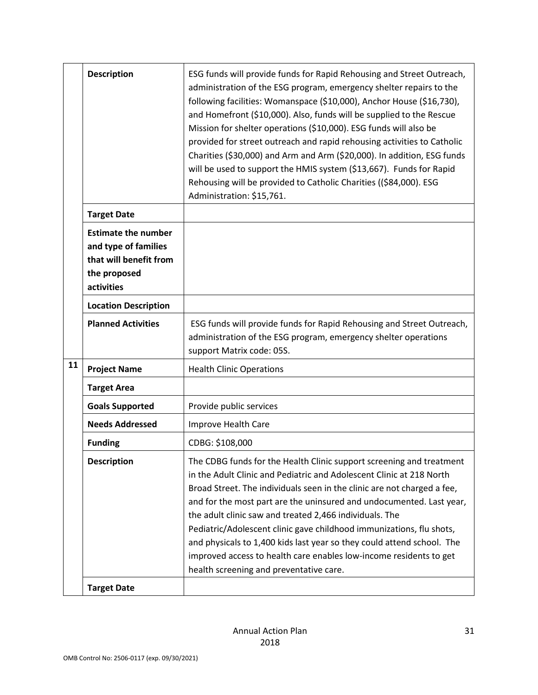|    | <b>Description</b>                                                                                         | ESG funds will provide funds for Rapid Rehousing and Street Outreach,<br>administration of the ESG program, emergency shelter repairs to the<br>following facilities: Womanspace (\$10,000), Anchor House (\$16,730),<br>and Homefront (\$10,000). Also, funds will be supplied to the Rescue<br>Mission for shelter operations (\$10,000). ESG funds will also be<br>provided for street outreach and rapid rehousing activities to Catholic<br>Charities (\$30,000) and Arm and Arm (\$20,000). In addition, ESG funds<br>will be used to support the HMIS system (\$13,667). Funds for Rapid<br>Rehousing will be provided to Catholic Charities ((\$84,000). ESG<br>Administration: \$15,761. |
|----|------------------------------------------------------------------------------------------------------------|---------------------------------------------------------------------------------------------------------------------------------------------------------------------------------------------------------------------------------------------------------------------------------------------------------------------------------------------------------------------------------------------------------------------------------------------------------------------------------------------------------------------------------------------------------------------------------------------------------------------------------------------------------------------------------------------------|
|    | <b>Target Date</b>                                                                                         |                                                                                                                                                                                                                                                                                                                                                                                                                                                                                                                                                                                                                                                                                                   |
|    | <b>Estimate the number</b><br>and type of families<br>that will benefit from<br>the proposed<br>activities |                                                                                                                                                                                                                                                                                                                                                                                                                                                                                                                                                                                                                                                                                                   |
|    | <b>Location Description</b>                                                                                |                                                                                                                                                                                                                                                                                                                                                                                                                                                                                                                                                                                                                                                                                                   |
|    | <b>Planned Activities</b>                                                                                  | ESG funds will provide funds for Rapid Rehousing and Street Outreach,<br>administration of the ESG program, emergency shelter operations<br>support Matrix code: 05S.                                                                                                                                                                                                                                                                                                                                                                                                                                                                                                                             |
| 11 | <b>Project Name</b>                                                                                        | <b>Health Clinic Operations</b>                                                                                                                                                                                                                                                                                                                                                                                                                                                                                                                                                                                                                                                                   |
|    | <b>Target Area</b>                                                                                         |                                                                                                                                                                                                                                                                                                                                                                                                                                                                                                                                                                                                                                                                                                   |
|    | <b>Goals Supported</b>                                                                                     | Provide public services                                                                                                                                                                                                                                                                                                                                                                                                                                                                                                                                                                                                                                                                           |
|    | <b>Needs Addressed</b>                                                                                     | Improve Health Care                                                                                                                                                                                                                                                                                                                                                                                                                                                                                                                                                                                                                                                                               |
|    | <b>Funding</b>                                                                                             | CDBG: \$108,000                                                                                                                                                                                                                                                                                                                                                                                                                                                                                                                                                                                                                                                                                   |
|    | <b>Description</b>                                                                                         | The CDBG funds for the Health Clinic support screening and treatment<br>in the Adult Clinic and Pediatric and Adolescent Clinic at 218 North<br>Broad Street. The individuals seen in the clinic are not charged a fee,<br>and for the most part are the uninsured and undocumented. Last year,<br>the adult clinic saw and treated 2,466 individuals. The<br>Pediatric/Adolescent clinic gave childhood immunizations, flu shots,<br>and physicals to 1,400 kids last year so they could attend school. The<br>improved access to health care enables low-income residents to get<br>health screening and preventative care.                                                                     |
|    | <b>Target Date</b>                                                                                         |                                                                                                                                                                                                                                                                                                                                                                                                                                                                                                                                                                                                                                                                                                   |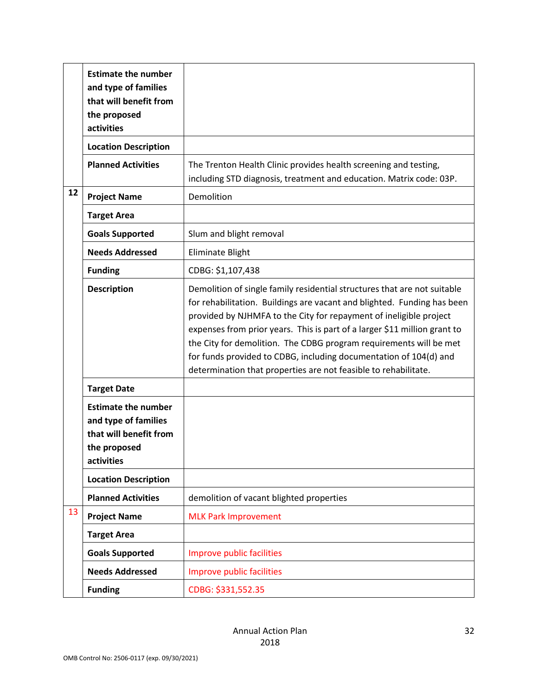|    | <b>Estimate the number</b><br>and type of families<br>that will benefit from<br>the proposed<br>activities |                                                                                                                                                                                                                                                                                                                                                                                                                                                                                                                      |
|----|------------------------------------------------------------------------------------------------------------|----------------------------------------------------------------------------------------------------------------------------------------------------------------------------------------------------------------------------------------------------------------------------------------------------------------------------------------------------------------------------------------------------------------------------------------------------------------------------------------------------------------------|
|    | <b>Location Description</b>                                                                                |                                                                                                                                                                                                                                                                                                                                                                                                                                                                                                                      |
|    | <b>Planned Activities</b>                                                                                  | The Trenton Health Clinic provides health screening and testing,<br>including STD diagnosis, treatment and education. Matrix code: 03P.                                                                                                                                                                                                                                                                                                                                                                              |
| 12 | <b>Project Name</b>                                                                                        | Demolition                                                                                                                                                                                                                                                                                                                                                                                                                                                                                                           |
|    | <b>Target Area</b>                                                                                         |                                                                                                                                                                                                                                                                                                                                                                                                                                                                                                                      |
|    | <b>Goals Supported</b>                                                                                     | Slum and blight removal                                                                                                                                                                                                                                                                                                                                                                                                                                                                                              |
|    | <b>Needs Addressed</b>                                                                                     | Eliminate Blight                                                                                                                                                                                                                                                                                                                                                                                                                                                                                                     |
|    | <b>Funding</b>                                                                                             | CDBG: \$1,107,438                                                                                                                                                                                                                                                                                                                                                                                                                                                                                                    |
|    | <b>Description</b>                                                                                         | Demolition of single family residential structures that are not suitable<br>for rehabilitation. Buildings are vacant and blighted. Funding has been<br>provided by NJHMFA to the City for repayment of ineligible project<br>expenses from prior years. This is part of a larger \$11 million grant to<br>the City for demolition. The CDBG program requirements will be met<br>for funds provided to CDBG, including documentation of 104(d) and<br>determination that properties are not feasible to rehabilitate. |
|    | <b>Target Date</b>                                                                                         |                                                                                                                                                                                                                                                                                                                                                                                                                                                                                                                      |
|    | <b>Estimate the number</b><br>and type of families<br>that will benefit from<br>the proposed<br>activities |                                                                                                                                                                                                                                                                                                                                                                                                                                                                                                                      |
|    | <b>Location Description</b>                                                                                |                                                                                                                                                                                                                                                                                                                                                                                                                                                                                                                      |
|    | <b>Planned Activities</b>                                                                                  | demolition of vacant blighted properties                                                                                                                                                                                                                                                                                                                                                                                                                                                                             |
| 13 | <b>Project Name</b>                                                                                        | <b>MLK Park Improvement</b>                                                                                                                                                                                                                                                                                                                                                                                                                                                                                          |
|    | <b>Target Area</b>                                                                                         |                                                                                                                                                                                                                                                                                                                                                                                                                                                                                                                      |
|    | <b>Goals Supported</b>                                                                                     | Improve public facilities                                                                                                                                                                                                                                                                                                                                                                                                                                                                                            |
|    | <b>Needs Addressed</b>                                                                                     | Improve public facilities                                                                                                                                                                                                                                                                                                                                                                                                                                                                                            |
|    | <b>Funding</b>                                                                                             | CDBG: \$331,552.35                                                                                                                                                                                                                                                                                                                                                                                                                                                                                                   |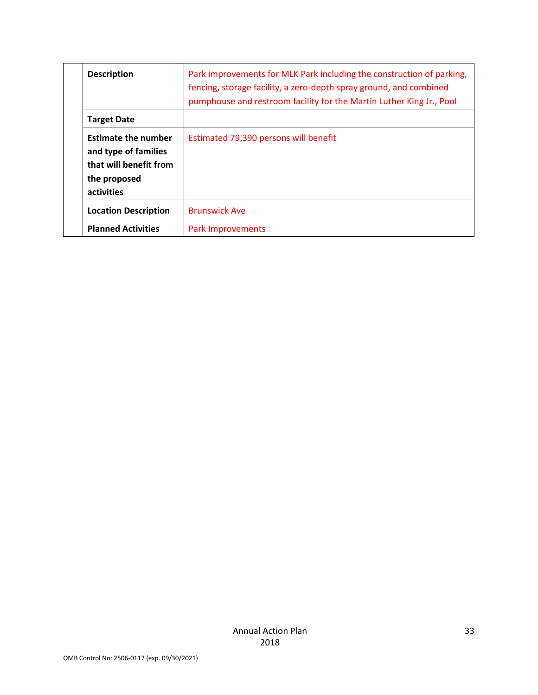| <b>Description</b>                                                                                         | Park improvements for MLK Park including the construction of parking,<br>fencing, storage facility, a zero-depth spray ground, and combined<br>pumphouse and restroom facility for the Martin Luther King Jr., Pool |
|------------------------------------------------------------------------------------------------------------|---------------------------------------------------------------------------------------------------------------------------------------------------------------------------------------------------------------------|
| <b>Target Date</b>                                                                                         |                                                                                                                                                                                                                     |
| <b>Estimate the number</b><br>and type of families<br>that will benefit from<br>the proposed<br>activities | Estimated 79,390 persons will benefit                                                                                                                                                                               |
| <b>Location Description</b>                                                                                | <b>Brunswick Ave</b>                                                                                                                                                                                                |
| <b>Planned Activities</b>                                                                                  | <b>Park Improvements</b>                                                                                                                                                                                            |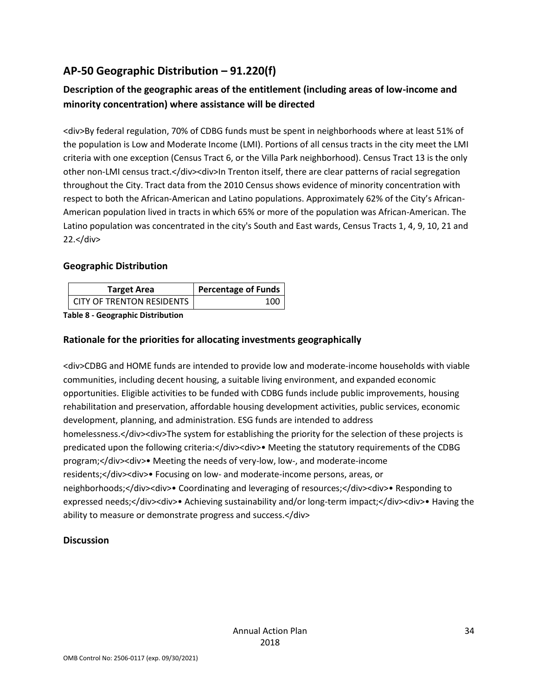### **AP-50 Geographic Distribution – 91.220(f)**

### **Description of the geographic areas of the entitlement (including areas of low-income and minority concentration) where assistance will be directed**

<div>By federal regulation, 70% of CDBG funds must be spent in neighborhoods where at least 51% of the population is Low and Moderate Income (LMI). Portions of all census tracts in the city meet the LMI criteria with one exception (Census Tract 6, or the Villa Park neighborhood). Census Tract 13 is the only other non-LMI census tract.</div><div>In Trenton itself, there are clear patterns of racial segregation throughout the City. Tract data from the 2010 Census shows evidence of minority concentration with respect to both the African-American and Latino populations. Approximately 62% of the City's African-American population lived in tracts in which 65% or more of the population was African-American. The Latino population was concentrated in the city's South and East wards, Census Tracts 1, 4, 9, 10, 21 and 22.</div>

### **Geographic Distribution**

| <b>Target Area</b>               | <b>Percentage of Funds</b> |
|----------------------------------|----------------------------|
| <b>CITY OF TRENTON RESIDENTS</b> |                            |

**Table 8 - Geographic Distribution** 

#### **Rationale for the priorities for allocating investments geographically**

<div>CDBG and HOME funds are intended to provide low and moderate-income households with viable communities, including decent housing, a suitable living environment, and expanded economic opportunities. Eligible activities to be funded with CDBG funds include public improvements, housing rehabilitation and preservation, affordable housing development activities, public services, economic development, planning, and administration. ESG funds are intended to address homelessness.</div><div>The system for establishing the priority for the selection of these projects is predicated upon the following criteria:</div><div>• Meeting the statutory requirements of the CDBG program;</div><div>• Meeting the needs of very-low, low-, and moderate-income residents;</div><div>• Focusing on low- and moderate-income persons, areas, or neighborhoods;</div><div>• Coordinating and leveraging of resources;</div><div>• Responding to expressed needs;</div><div>• Achieving sustainability and/or long-term impact;</div><div>• Having the ability to measure or demonstrate progress and success.</div>

### **Discussion**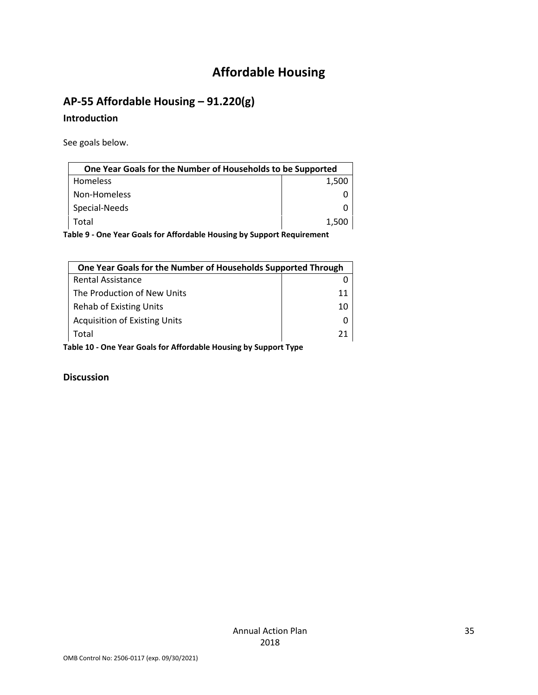# **Affordable Housing**

### **AP-55 Affordable Housing – 91.220(g)**

### **Introduction**

See goals below.

| One Year Goals for the Number of Households to be Supported            |       |  |
|------------------------------------------------------------------------|-------|--|
| <b>Homeless</b>                                                        | 1,500 |  |
| Non-Homeless                                                           |       |  |
| Special-Needs                                                          |       |  |
| Total                                                                  | 1,500 |  |
| Table 9 - One Year Goals for Affordable Housing by Support Requirement |       |  |

| One Year Goals for the Number of Households Supported Through    |    |  |
|------------------------------------------------------------------|----|--|
| <b>Rental Assistance</b>                                         |    |  |
| The Production of New Units                                      | 11 |  |
| <b>Rehab of Existing Units</b>                                   | 10 |  |
| <b>Acquisition of Existing Units</b>                             |    |  |
| Total                                                            | 21 |  |
| Table 10 - One Year Goals for Affordable Housing by Support Type |    |  |

**Discussion**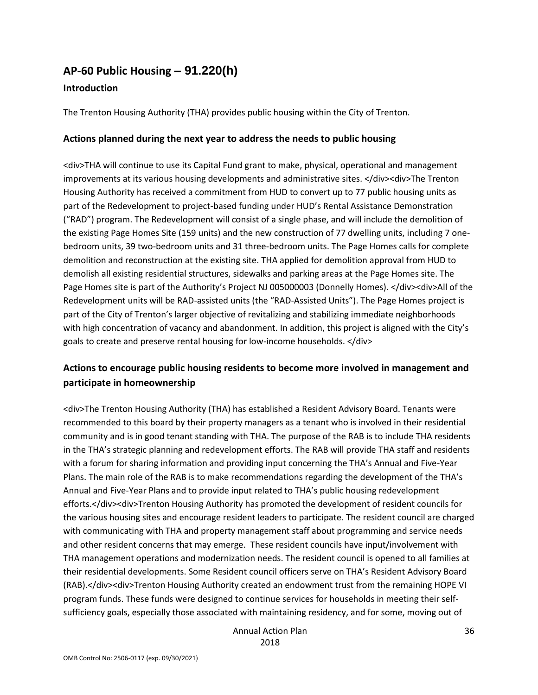### **AP-60 Public Housing** *–* **91.220(h)**

#### **Introduction**

The Trenton Housing Authority (THA) provides public housing within the City of Trenton.

#### **Actions planned during the next year to address the needs to public housing**

<div>THA will continue to use its Capital Fund grant to make, physical, operational and management improvements at its various housing developments and administrative sites. </div><div>The Trenton Housing Authority has received a commitment from HUD to convert up to 77 public housing units as part of the Redevelopment to project-based funding under HUD's Rental Assistance Demonstration ("RAD") program. The Redevelopment will consist of a single phase, and will include the demolition of the existing Page Homes Site (159 units) and the new construction of 77 dwelling units, including 7 onebedroom units, 39 two-bedroom units and 31 three-bedroom units. The Page Homes calls for complete demolition and reconstruction at the existing site. THA applied for demolition approval from HUD to demolish all existing residential structures, sidewalks and parking areas at the Page Homes site. The Page Homes site is part of the Authority's Project NJ 005000003 (Donnelly Homes). </div><div>All of the Redevelopment units will be RAD-assisted units (the "RAD-Assisted Units"). The Page Homes project is part of the City of Trenton's larger objective of revitalizing and stabilizing immediate neighborhoods with high concentration of vacancy and abandonment. In addition, this project is aligned with the City's goals to create and preserve rental housing for low-income households. </div>

### **Actions to encourage public housing residents to become more involved in management and participate in homeownership**

<div>The Trenton Housing Authority (THA) has established a Resident Advisory Board. Tenants were recommended to this board by their property managers as a tenant who is involved in their residential community and is in good tenant standing with THA. The purpose of the RAB is to include THA residents in the THA's strategic planning and redevelopment efforts. The RAB will provide THA staff and residents with a forum for sharing information and providing input concerning the THA's Annual and Five-Year Plans. The main role of the RAB is to make recommendations regarding the development of the THA's Annual and Five-Year Plans and to provide input related to THA's public housing redevelopment efforts.</div><div>Trenton Housing Authority has promoted the development of resident councils for the various housing sites and encourage resident leaders to participate. The resident council are charged with communicating with THA and property management staff about programming and service needs and other resident concerns that may emerge. These resident councils have input/involvement with THA management operations and modernization needs. The resident council is opened to all families at their residential developments. Some Resident council officers serve on THA's Resident Advisory Board (RAB).</div><div>Trenton Housing Authority created an endowment trust from the remaining HOPE VI program funds. These funds were designed to continue services for households in meeting their selfsufficiency goals, especially those associated with maintaining residency, and for some, moving out of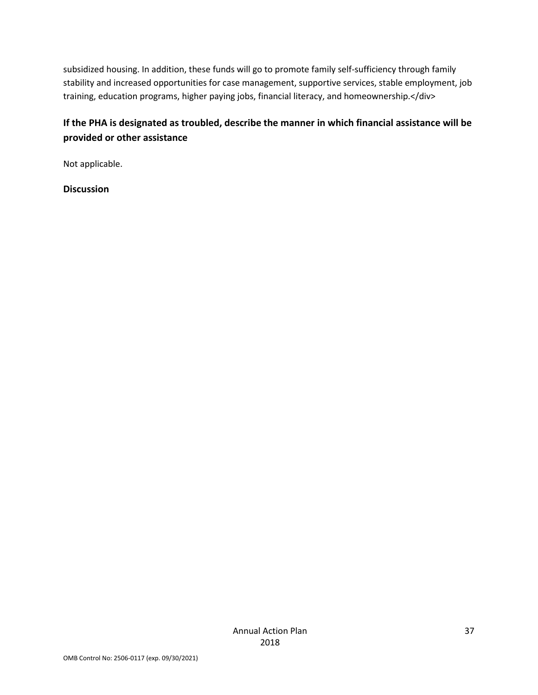subsidized housing. In addition, these funds will go to promote family self-sufficiency through family stability and increased opportunities for case management, supportive services, stable employment, job training, education programs, higher paying jobs, financial literacy, and homeownership.</div>

### **If the PHA is designated as troubled, describe the manner in which financial assistance will be provided or other assistance**

Not applicable.

**Discussion**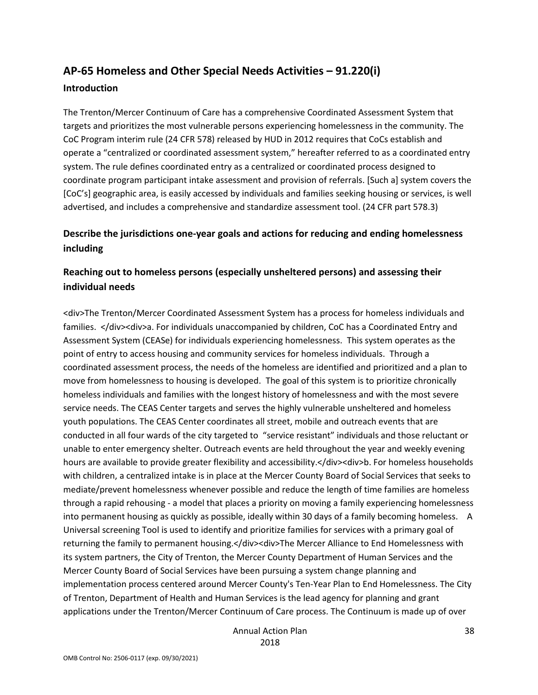### **AP-65 Homeless and Other Special Needs Activities – 91.220(i) Introduction**

The Trenton/Mercer Continuum of Care has a comprehensive Coordinated Assessment System that targets and prioritizes the most vulnerable persons experiencing homelessness in the community. The CoC Program interim rule (24 CFR 578) released by HUD in 2012 requires that CoCs establish and operate a "centralized or coordinated assessment system," hereafter referred to as a coordinated entry system. The rule defines coordinated entry as a centralized or coordinated process designed to coordinate program participant intake assessment and provision of referrals. [Such a] system covers the [CoC's] geographic area, is easily accessed by individuals and families seeking housing or services, is well advertised, and includes a comprehensive and standardize assessment tool. (24 CFR part 578.3)

### **Describe the jurisdictions one-year goals and actions for reducing and ending homelessness including**

### **Reaching out to homeless persons (especially unsheltered persons) and assessing their individual needs**

<div>The Trenton/Mercer Coordinated Assessment System has a process for homeless individuals and families. </div><div>a. For individuals unaccompanied by children, CoC has a Coordinated Entry and Assessment System (CEASe) for individuals experiencing homelessness. This system operates as the point of entry to access housing and community services for homeless individuals. Through a coordinated assessment process, the needs of the homeless are identified and prioritized and a plan to move from homelessness to housing is developed. The goal of this system is to prioritize chronically homeless individuals and families with the longest history of homelessness and with the most severe service needs. The CEAS Center targets and serves the highly vulnerable unsheltered and homeless youth populations. The CEAS Center coordinates all street, mobile and outreach events that are conducted in all four wards of the city targeted to "service resistant" individuals and those reluctant or unable to enter emergency shelter. Outreach events are held throughout the year and weekly evening hours are available to provide greater flexibility and accessibility.</div><div>b. For homeless households with children, a centralized intake is in place at the Mercer County Board of Social Services that seeks to mediate/prevent homelessness whenever possible and reduce the length of time families are homeless through a rapid rehousing - a model that places a priority on moving a family experiencing homelessness into permanent housing as quickly as possible, ideally within 30 days of a family becoming homeless. A Universal screening Tool is used to identify and prioritize families for services with a primary goal of returning the family to permanent housing.</div><div>The Mercer Alliance to End Homelessness with its system partners, the City of Trenton, the Mercer County Department of Human Services and the Mercer County Board of Social Services have been pursuing a system change planning and implementation process centered around Mercer County's Ten-Year Plan to End Homelessness. The City of Trenton, Department of Health and Human Services is the lead agency for planning and grant applications under the Trenton/Mercer Continuum of Care process. The Continuum is made up of over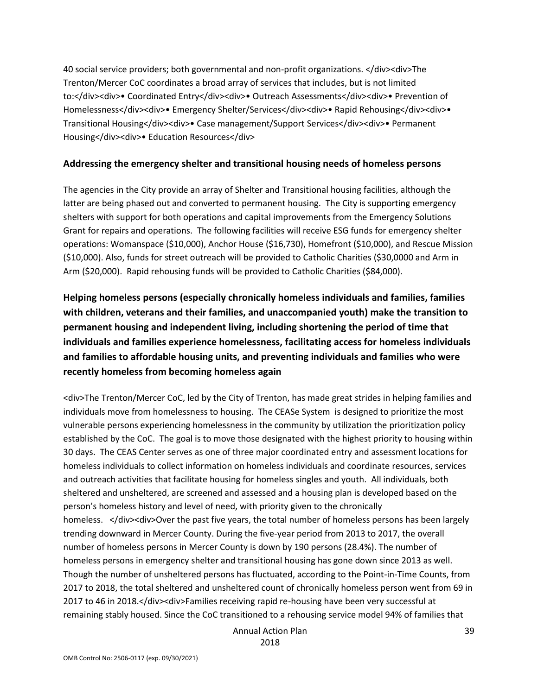40 social service providers; both governmental and non-profit organizations. </div><div>The Trenton/Mercer CoC coordinates a broad array of services that includes, but is not limited to:</div><div>• Coordinated Entry</div><div>• Outreach Assessments</div><div>• Prevention of Homelessness</div><div>• Emergency Shelter/Services</div><div>• Rapid Rehousing</div><div>• Transitional Housing</div><div>• Case management/Support Services</div><div>• Permanent Housing</div><div>• Education Resources</div>

#### **Addressing the emergency shelter and transitional housing needs of homeless persons**

The agencies in the City provide an array of Shelter and Transitional housing facilities, although the latter are being phased out and converted to permanent housing. The City is supporting emergency shelters with support for both operations and capital improvements from the Emergency Solutions Grant for repairs and operations. The following facilities will receive ESG funds for emergency shelter operations: Womanspace (\$10,000), Anchor House (\$16,730), Homefront (\$10,000), and Rescue Mission (\$10,000). Also, funds for street outreach will be provided to Catholic Charities (\$30,0000 and Arm in Arm (\$20,000). Rapid rehousing funds will be provided to Catholic Charities (\$84,000).

**Helping homeless persons (especially chronically homeless individuals and families, families with children, veterans and their families, and unaccompanied youth) make the transition to permanent housing and independent living, including shortening the period of time that individuals and families experience homelessness, facilitating access for homeless individuals and families to affordable housing units, and preventing individuals and families who were recently homeless from becoming homeless again**

<div>The Trenton/Mercer CoC, led by the City of Trenton, has made great strides in helping families and individuals move from homelessness to housing. The CEASe System is designed to prioritize the most vulnerable persons experiencing homelessness in the community by utilization the prioritization policy established by the CoC. The goal is to move those designated with the highest priority to housing within 30 days. The CEAS Center serves as one of three major coordinated entry and assessment locations for homeless individuals to collect information on homeless individuals and coordinate resources, services and outreach activities that facilitate housing for homeless singles and youth. All individuals, both sheltered and unsheltered, are screened and assessed and a housing plan is developed based on the person's homeless history and level of need, with priority given to the chronically homeless. </div><div>Over the past five years, the total number of homeless persons has been largely trending downward in Mercer County. During the five-year period from 2013 to 2017, the overall number of homeless persons in Mercer County is down by 190 persons (28.4%). The number of homeless persons in emergency shelter and transitional housing has gone down since 2013 as well. Though the number of unsheltered persons has fluctuated, according to the Point-in-Time Counts, from 2017 to 2018, the total sheltered and unsheltered count of chronically homeless person went from 69 in 2017 to 46 in 2018.</div><div>Families receiving rapid re-housing have been very successful at remaining stably housed. Since the CoC transitioned to a rehousing service model 94% of families that

Annual Action Plan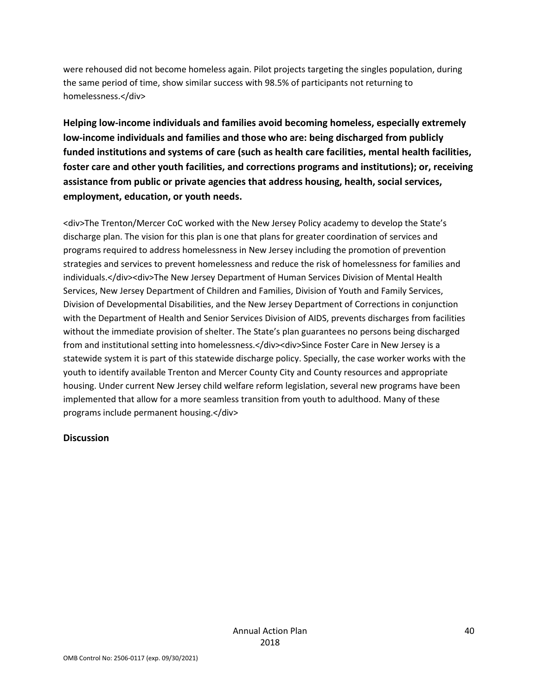were rehoused did not become homeless again. Pilot projects targeting the singles population, during the same period of time, show similar success with 98.5% of participants not returning to homelessness.</div>

**Helping low-income individuals and families avoid becoming homeless, especially extremely low-income individuals and families and those who are: being discharged from publicly funded institutions and systems of care (such as health care facilities, mental health facilities, foster care and other youth facilities, and corrections programs and institutions); or, receiving assistance from public or private agencies that address housing, health, social services, employment, education, or youth needs.**

<div>The Trenton/Mercer CoC worked with the New Jersey Policy academy to develop the State's discharge plan. The vision for this plan is one that plans for greater coordination of services and programs required to address homelessness in New Jersey including the promotion of prevention strategies and services to prevent homelessness and reduce the risk of homelessness for families and individuals.</div><div>The New Jersey Department of Human Services Division of Mental Health Services, New Jersey Department of Children and Families, Division of Youth and Family Services, Division of Developmental Disabilities, and the New Jersey Department of Corrections in conjunction with the Department of Health and Senior Services Division of AIDS, prevents discharges from facilities without the immediate provision of shelter. The State's plan guarantees no persons being discharged from and institutional setting into homelessness.</div><div>Since Foster Care in New Jersey is a statewide system it is part of this statewide discharge policy. Specially, the case worker works with the youth to identify available Trenton and Mercer County City and County resources and appropriate housing. Under current New Jersey child welfare reform legislation, several new programs have been implemented that allow for a more seamless transition from youth to adulthood. Many of these programs include permanent housing.</div>

#### **Discussion**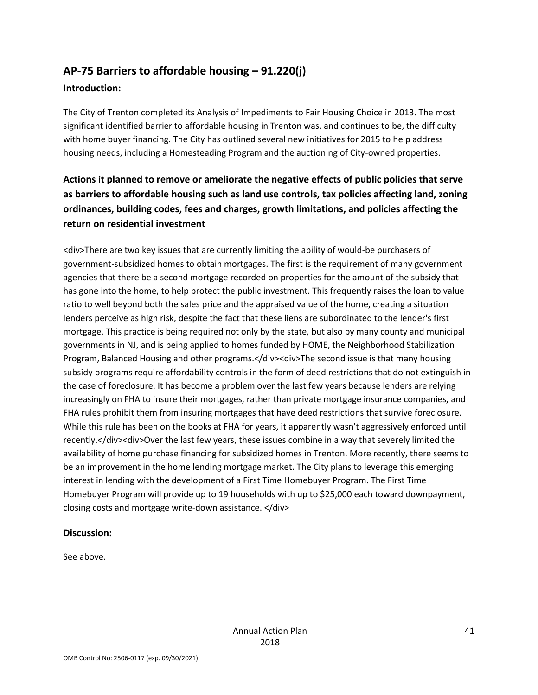## **AP-75 Barriers to affordable housing – 91.220(j)**

### **Introduction:**

The City of Trenton completed its Analysis of Impediments to Fair Housing Choice in 2013. The most significant identified barrier to affordable housing in Trenton was, and continues to be, the difficulty with home buyer financing. The City has outlined several new initiatives for 2015 to help address housing needs, including a Homesteading Program and the auctioning of City-owned properties.

### **Actions it planned to remove or ameliorate the negative effects of public policies that serve as barriers to affordable housing such as land use controls, tax policies affecting land, zoning ordinances, building codes, fees and charges, growth limitations, and policies affecting the return on residential investment**

<div>There are two key issues that are currently limiting the ability of would-be purchasers of government-subsidized homes to obtain mortgages. The first is the requirement of many government agencies that there be a second mortgage recorded on properties for the amount of the subsidy that has gone into the home, to help protect the public investment. This frequently raises the loan to value ratio to well beyond both the sales price and the appraised value of the home, creating a situation lenders perceive as high risk, despite the fact that these liens are subordinated to the lender's first mortgage. This practice is being required not only by the state, but also by many county and municipal governments in NJ, and is being applied to homes funded by HOME, the Neighborhood Stabilization Program, Balanced Housing and other programs.</div><div>The second issue is that many housing subsidy programs require affordability controls in the form of deed restrictions that do not extinguish in the case of foreclosure. It has become a problem over the last few years because lenders are relying increasingly on FHA to insure their mortgages, rather than private mortgage insurance companies, and FHA rules prohibit them from insuring mortgages that have deed restrictions that survive foreclosure. While this rule has been on the books at FHA for years, it apparently wasn't aggressively enforced until recently.</div><div>Over the last few years, these issues combine in a way that severely limited the availability of home purchase financing for subsidized homes in Trenton. More recently, there seems to be an improvement in the home lending mortgage market. The City plans to leverage this emerging interest in lending with the development of a First Time Homebuyer Program. The First Time Homebuyer Program will provide up to 19 households with up to \$25,000 each toward downpayment, closing costs and mortgage write-down assistance. </div>

#### **Discussion:**

See above.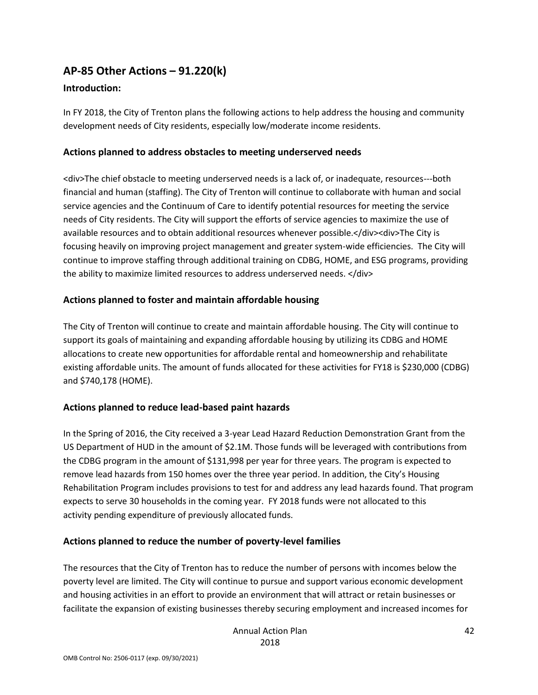### **AP-85 Other Actions – 91.220(k)**

### **Introduction:**

In FY 2018, the City of Trenton plans the following actions to help address the housing and community development needs of City residents, especially low/moderate income residents.

#### **Actions planned to address obstacles to meeting underserved needs**

<div>The chief obstacle to meeting underserved needs is a lack of, or inadequate, resources---both financial and human (staffing). The City of Trenton will continue to collaborate with human and social service agencies and the Continuum of Care to identify potential resources for meeting the service needs of City residents. The City will support the efforts of service agencies to maximize the use of available resources and to obtain additional resources whenever possible.</div><div>The City is focusing heavily on improving project management and greater system-wide efficiencies. The City will continue to improve staffing through additional training on CDBG, HOME, and ESG programs, providing the ability to maximize limited resources to address underserved needs. </div>

#### **Actions planned to foster and maintain affordable housing**

The City of Trenton will continue to create and maintain affordable housing. The City will continue to support its goals of maintaining and expanding affordable housing by utilizing its CDBG and HOME allocations to create new opportunities for affordable rental and homeownership and rehabilitate existing affordable units. The amount of funds allocated for these activities for FY18 is \$230,000 (CDBG) and \$740,178 (HOME).

### **Actions planned to reduce lead-based paint hazards**

In the Spring of 2016, the City received a 3-year Lead Hazard Reduction Demonstration Grant from the US Department of HUD in the amount of \$2.1M. Those funds will be leveraged with contributions from the CDBG program in the amount of \$131,998 per year for three years. The program is expected to remove lead hazards from 150 homes over the three year period. In addition, the City's Housing Rehabilitation Program includes provisions to test for and address any lead hazards found. That program expects to serve 30 households in the coming year. FY 2018 funds were not allocated to this activity pending expenditure of previously allocated funds.

### **Actions planned to reduce the number of poverty-level families**

The resources that the City of Trenton has to reduce the number of persons with incomes below the poverty level are limited. The City will continue to pursue and support various economic development and housing activities in an effort to provide an environment that will attract or retain businesses or facilitate the expansion of existing businesses thereby securing employment and increased incomes for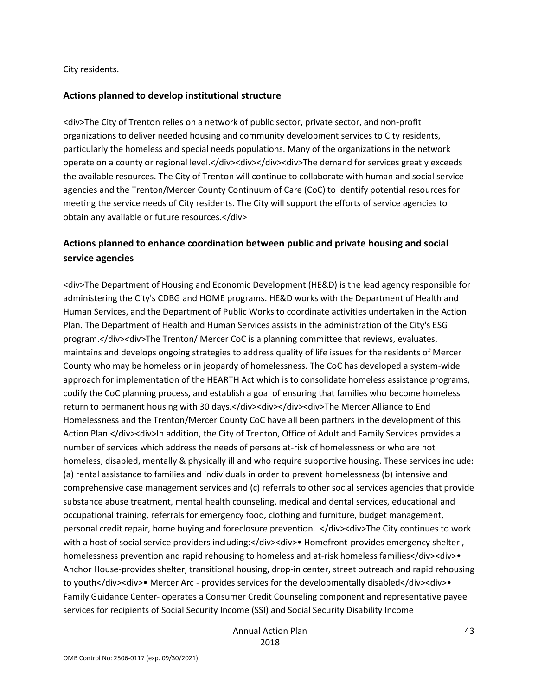City residents.

#### **Actions planned to develop institutional structure**

<div>The City of Trenton relies on a network of public sector, private sector, and non-profit organizations to deliver needed housing and community development services to City residents, particularly the homeless and special needs populations. Many of the organizations in the network operate on a county or regional level.</div><div><div><div>The demand for services greatly exceeds the available resources. The City of Trenton will continue to collaborate with human and social service agencies and the Trenton/Mercer County Continuum of Care (CoC) to identify potential resources for meeting the service needs of City residents. The City will support the efforts of service agencies to obtain any available or future resources.</div>

### **Actions planned to enhance coordination between public and private housing and social service agencies**

<div>The Department of Housing and Economic Development (HE&D) is the lead agency responsible for administering the City's CDBG and HOME programs. HE&D works with the Department of Health and Human Services, and the Department of Public Works to coordinate activities undertaken in the Action Plan. The Department of Health and Human Services assists in the administration of the City's ESG program.</div><div>The Trenton/ Mercer CoC is a planning committee that reviews, evaluates, maintains and develops ongoing strategies to address quality of life issues for the residents of Mercer County who may be homeless or in jeopardy of homelessness. The CoC has developed a system-wide approach for implementation of the HEARTH Act which is to consolidate homeless assistance programs, codify the CoC planning process, and establish a goal of ensuring that families who become homeless return to permanent housing with 30 days.</div><div></div><div>The Mercer Alliance to End Homelessness and the Trenton/Mercer County CoC have all been partners in the development of this Action Plan.</div><div>In addition, the City of Trenton, Office of Adult and Family Services provides a number of services which address the needs of persons at-risk of homelessness or who are not homeless, disabled, mentally & physically ill and who require supportive housing. These services include: (a) rental assistance to families and individuals in order to prevent homelessness (b) intensive and comprehensive case management services and (c) referrals to other social services agencies that provide substance abuse treatment, mental health counseling, medical and dental services, educational and occupational training, referrals for emergency food, clothing and furniture, budget management, personal credit repair, home buying and foreclosure prevention. </div><div>The City continues to work with a host of social service providers including:</div><div>• Homefront-provides emergency shelter, homelessness prevention and rapid rehousing to homeless and at-risk homeless families</div><div> Anchor House-provides shelter, transitional housing, drop-in center, street outreach and rapid rehousing to youth</div><div>• Mercer Arc - provides services for the developmentally disabled</div><div>• Family Guidance Center- operates a Consumer Credit Counseling component and representative payee services for recipients of Social Security Income (SSI) and Social Security Disability Income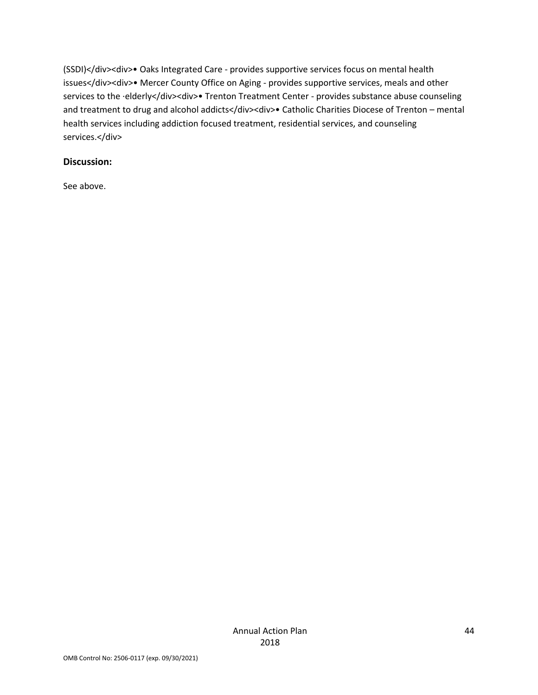(SSDI)</div><div>• Oaks Integrated Care - provides supportive services focus on mental health issues</div><div>• Mercer County Office on Aging - provides supportive services, meals and other services to the ·elderly</div><div>• Trenton Treatment Center - provides substance abuse counseling and treatment to drug and alcohol addicts</div><div>• Catholic Charities Diocese of Trenton – mental health services including addiction focused treatment, residential services, and counseling services.</div>

#### **Discussion:**

See above.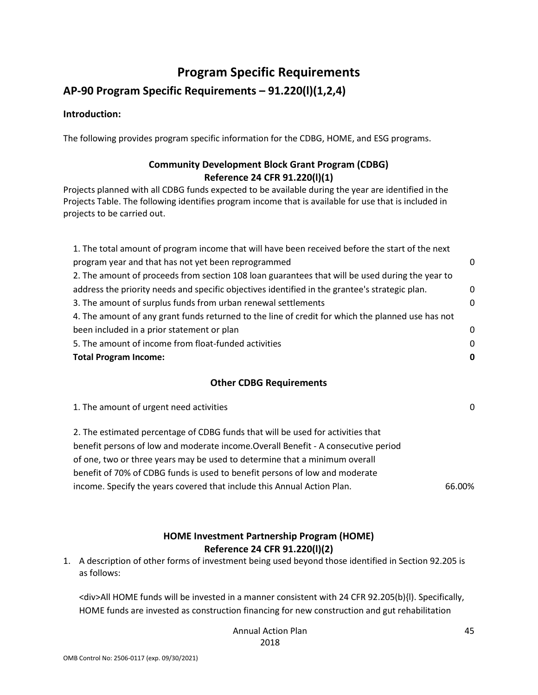# **Program Specific Requirements**

### **AP-90 Program Specific Requirements – 91.220(l)(1,2,4)**

#### **Introduction:**

The following provides program specific information for the CDBG, HOME, and ESG programs.

### **Community Development Block Grant Program (CDBG) Reference 24 CFR 91.220(l)(1)**

Projects planned with all CDBG funds expected to be available during the year are identified in the Projects Table. The following identifies program income that is available for use that is included in projects to be carried out.

| 1. The total amount of program income that will have been received before the start of the next   |          |
|---------------------------------------------------------------------------------------------------|----------|
| program year and that has not yet been reprogrammed                                               | 0        |
| 2. The amount of proceeds from section 108 loan guarantees that will be used during the year to   |          |
| address the priority needs and specific objectives identified in the grantee's strategic plan.    | 0        |
| 3. The amount of surplus funds from urban renewal settlements                                     | $\Omega$ |
| 4. The amount of any grant funds returned to the line of credit for which the planned use has not |          |
| been included in a prior statement or plan                                                        | 0        |
| 5. The amount of income from float-funded activities                                              | $\Omega$ |
| <b>Total Program Income:</b>                                                                      | 0        |
|                                                                                                   |          |

#### **Other CDBG Requirements**

1. The amount of urgent need activities 0

2. The estimated percentage of CDBG funds that will be used for activities that benefit persons of low and moderate income.Overall Benefit - A consecutive period of one, two or three years may be used to determine that a minimum overall benefit of 70% of CDBG funds is used to benefit persons of low and moderate income. Specify the years covered that include this Annual Action Plan. 66.00%

#### **HOME Investment Partnership Program (HOME) Reference 24 CFR 91.220(l)(2)**

1. A description of other forms of investment being used beyond those identified in Section 92.205 is as follows:

<div>All HOME funds will be invested in a manner consistent with 24 CFR 92.205(b){l). Specifically, HOME funds are invested as construction financing for new construction and gut rehabilitation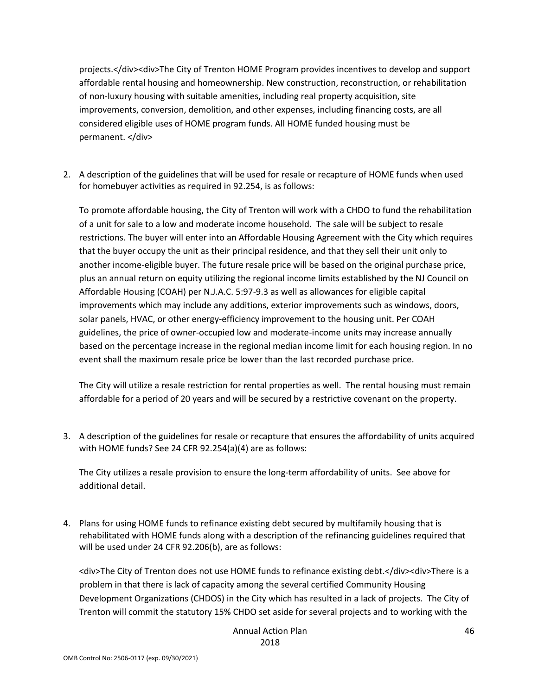projects.</div><div>The City of Trenton HOME Program provides incentives to develop and support affordable rental housing and homeownership. New construction, reconstruction, or rehabilitation of non-luxury housing with suitable amenities, including real property acquisition, site improvements, conversion, demolition, and other expenses, including financing costs, are all considered eligible uses of HOME program funds. All HOME funded housing must be permanent. </div>

2. A description of the guidelines that will be used for resale or recapture of HOME funds when used for homebuyer activities as required in 92.254, is as follows:

To promote affordable housing, the City of Trenton will work with a CHDO to fund the rehabilitation of a unit for sale to a low and moderate income household. The sale will be subject to resale restrictions. The buyer will enter into an Affordable Housing Agreement with the City which requires that the buyer occupy the unit as their principal residence, and that they sell their unit only to another income-eligible buyer. The future resale price will be based on the original purchase price, plus an annual return on equity utilizing the regional income limits established by the NJ Council on Affordable Housing (COAH) per N.J.A.C. 5:97-9.3 as well as allowances for eligible capital improvements which may include any additions, exterior improvements such as windows, doors, solar panels, HVAC, or other energy-efficiency improvement to the housing unit. Per COAH guidelines, the price of owner-occupied low and moderate-income units may increase annually based on the percentage increase in the regional median income limit for each housing region. In no event shall the maximum resale price be lower than the last recorded purchase price.

The City will utilize a resale restriction for rental properties as well. The rental housing must remain affordable for a period of 20 years and will be secured by a restrictive covenant on the property.

3. A description of the guidelines for resale or recapture that ensures the affordability of units acquired with HOME funds? See 24 CFR 92.254(a)(4) are as follows:

The City utilizes a resale provision to ensure the long-term affordability of units. See above for additional detail.

4. Plans for using HOME funds to refinance existing debt secured by multifamily housing that is rehabilitated with HOME funds along with a description of the refinancing guidelines required that will be used under 24 CFR 92.206(b), are as follows:

<div>The City of Trenton does not use HOME funds to refinance existing debt.</div><div>There is a problem in that there is lack of capacity among the several certified Community Housing Development Organizations (CHDOS) in the City which has resulted in a lack of projects. The City of Trenton will commit the statutory 15% CHDO set aside for several projects and to working with the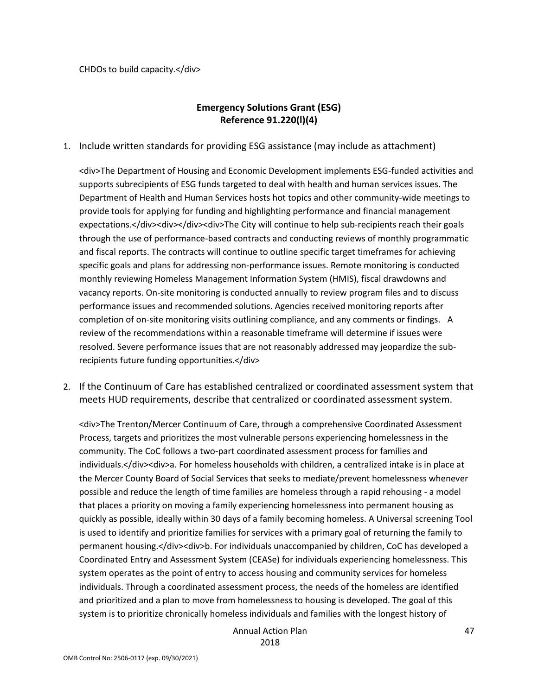CHDOs to build capacity.</div>

### **Emergency Solutions Grant (ESG) Reference 91.220(l)(4)**

1. Include written standards for providing ESG assistance (may include as attachment)

<div>The Department of Housing and Economic Development implements ESG-funded activities and supports subrecipients of ESG funds targeted to deal with health and human services issues. The Department of Health and Human Services hosts hot topics and other community-wide meetings to provide tools for applying for funding and highlighting performance and financial management expectations.</div><div></div><div>The City will continue to help sub-recipients reach their goals through the use of performance-based contracts and conducting reviews of monthly programmatic and fiscal reports. The contracts will continue to outline specific target timeframes for achieving specific goals and plans for addressing non-performance issues. Remote monitoring is conducted monthly reviewing Homeless Management Information System (HMIS), fiscal drawdowns and vacancy reports. On-site monitoring is conducted annually to review program files and to discuss performance issues and recommended solutions. Agencies received monitoring reports after completion of on-site monitoring visits outlining compliance, and any comments or findings. A review of the recommendations within a reasonable timeframe will determine if issues were resolved. Severe performance issues that are not reasonably addressed may jeopardize the subrecipients future funding opportunities.</div>

2. If the Continuum of Care has established centralized or coordinated assessment system that meets HUD requirements, describe that centralized or coordinated assessment system.

<div>The Trenton/Mercer Continuum of Care, through a comprehensive Coordinated Assessment Process, targets and prioritizes the most vulnerable persons experiencing homelessness in the community. The CoC follows a two-part coordinated assessment process for families and individuals.</div><div>a. For homeless households with children, a centralized intake is in place at the Mercer County Board of Social Services that seeks to mediate/prevent homelessness whenever possible and reduce the length of time families are homeless through a rapid rehousing - a model that places a priority on moving a family experiencing homelessness into permanent housing as quickly as possible, ideally within 30 days of a family becoming homeless. A Universal screening Tool is used to identify and prioritize families for services with a primary goal of returning the family to permanent housing.</div><div>b. For individuals unaccompanied by children, CoC has developed a Coordinated Entry and Assessment System (CEASe) for individuals experiencing homelessness. This system operates as the point of entry to access housing and community services for homeless individuals. Through a coordinated assessment process, the needs of the homeless are identified and prioritized and a plan to move from homelessness to housing is developed. The goal of this system is to prioritize chronically homeless individuals and families with the longest history of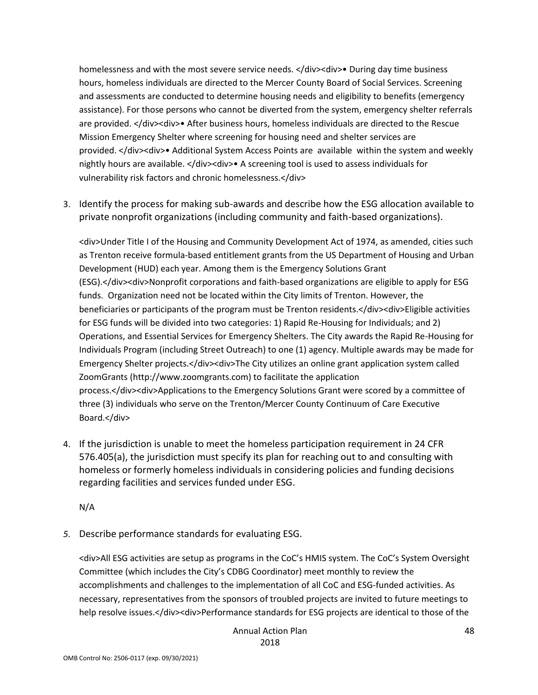homelessness and with the most severe service needs. </div><div>• During day time business hours, homeless individuals are directed to the Mercer County Board of Social Services. Screening and assessments are conducted to determine housing needs and eligibility to benefits (emergency assistance). For those persons who cannot be diverted from the system, emergency shelter referrals are provided. </div><div>• After business hours, homeless individuals are directed to the Rescue Mission Emergency Shelter where screening for housing need and shelter services are provided. </div><div>• Additional System Access Points are available within the system and weekly nightly hours are available. </div><div>• A screening tool is used to assess individuals for vulnerability risk factors and chronic homelessness.</div>

3. Identify the process for making sub-awards and describe how the ESG allocation available to private nonprofit organizations (including community and faith-based organizations).

<div>Under Title I of the Housing and Community Development Act of 1974, as amended, cities such as Trenton receive formula-based entitlement grants from the US Department of Housing and Urban Development (HUD) each year. Among them is the Emergency Solutions Grant (ESG).</div><div>Nonprofit corporations and faith-based organizations are eligible to apply for ESG funds. Organization need not be located within the City limits of Trenton. However, the beneficiaries or participants of the program must be Trenton residents.</div><div>Eligible activities for ESG funds will be divided into two categories: 1) Rapid Re-Housing for Individuals; and 2) Operations, and Essential Services for Emergency Shelters. The City awards the Rapid Re-Housing for Individuals Program (including Street Outreach) to one (1) agency. Multiple awards may be made for Emergency Shelter projects.</div><div>The City utilizes an online grant application system called ZoomGrants (http://www.zoomgrants.com) to facilitate the application process.</div><div>Applications to the Emergency Solutions Grant were scored by a committee of three (3) individuals who serve on the Trenton/Mercer County Continuum of Care Executive Board.</div>

4. If the jurisdiction is unable to meet the homeless participation requirement in 24 CFR 576.405(a), the jurisdiction must specify its plan for reaching out to and consulting with homeless or formerly homeless individuals in considering policies and funding decisions regarding facilities and services funded under ESG.

N/A

*5.* Describe performance standards for evaluating ESG.

<div>All ESG activities are setup as programs in the CoC's HMIS system. The CoC's System Oversight Committee (which includes the City's CDBG Coordinator) meet monthly to review the accomplishments and challenges to the implementation of all CoC and ESG-funded activities. As necessary, representatives from the sponsors of troubled projects are invited to future meetings to help resolve issues.</div><div>Performance standards for ESG projects are identical to those of the